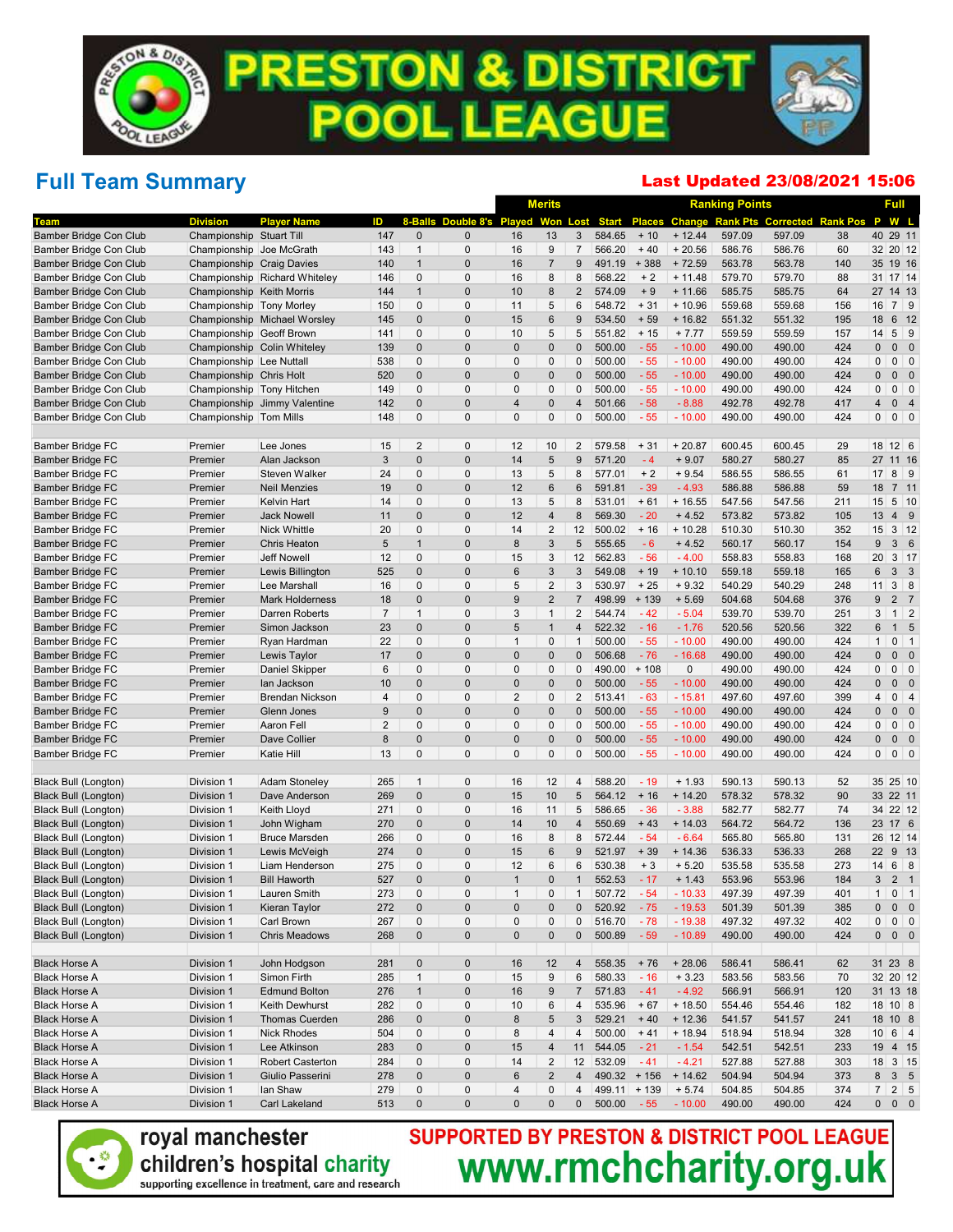### Full Team Summary

#### Last Updated 23/08/2021 15:06

|                                                     |                           |                                       |                |                   |                            |                    | <b>Merits</b>                    |                                  |                  |                 |                      | <b>Ranking Points</b>         |                           |            | Full                                |                               |
|-----------------------------------------------------|---------------------------|---------------------------------------|----------------|-------------------|----------------------------|--------------------|----------------------------------|----------------------------------|------------------|-----------------|----------------------|-------------------------------|---------------------------|------------|-------------------------------------|-------------------------------|
| Team                                                | <b>Division</b>           | <b>Player Name</b>                    | ID             |                   | 8-Balls Double 8's Played  |                    | Won                              | Lost                             | <b>Start</b>     |                 |                      | <b>Places Change Rank Pts</b> | <b>Corrected Rank Pos</b> |            | P                                   | W L                           |
| Bamber Bridge Con Club                              | Championship Stuart Till  |                                       | 147            | $\mathbf 0$       | $\mathbf{0}$               | 16                 | 13                               | 3                                | 584.65           | $+10$           | $+ 12.44$            | 597.09                        | 597.09                    | 38         | 40 29 11                            |                               |
| Bamber Bridge Con Club                              | Championship Joe McGrath  |                                       | 143            | $\mathbf{1}$      | $\mathbf 0$                | 16                 | 9                                | $\overline{7}$                   | 566.20           | $+40$           | $+20.56$             | 586.76                        | 586.76                    | 60         | 32 20 12                            |                               |
| Bamber Bridge Con Club                              | Championship Craig Davies |                                       | 140            | $\mathbf{1}$      | $\mathbf 0$                | 16                 | $\overline{7}$                   | 9                                | 491.19           | $+388$          | $+72.59$             | 563.78                        | 563.78                    | 140        | 35 19 16                            |                               |
| Bamber Bridge Con Club                              |                           | Championship Richard Whiteley         | 146            | 0                 | $\mathbf 0$                | 16                 | 8                                | 8                                | 568.22           | $+2$            | $+ 11.48$            | 579.70                        | 579.70                    | 88         | 31 17 14                            |                               |
| Bamber Bridge Con Club                              | Championship Keith Morris |                                       | 144            | $\mathbf{1}$      | $\mathbf 0$                | 10                 | 8                                | $\overline{c}$                   | 574.09           | $+9$            | $+ 11.66$            | 585.75                        | 585.75                    | 64         | 27 14 13                            |                               |
| Bamber Bridge Con Club                              | Championship Tony Morley  |                                       | 150            | 0                 | $\mathbf 0$                | 11                 | $\mathbf 5$                      | 6                                | 548.72           | $+31$           | $+10.96$             | 559.68                        | 559.68                    | 156        | 16                                  | $7 \mid 9$                    |
| Bamber Bridge Con Club                              |                           | Championship Michael Worsley          | 145            | $\mathbf{0}$      | $\mathbf 0$                | 15                 | $6\phantom{1}$                   | 9                                | 534.50           | $+59$           | $+16.82$             | 551.32                        | 551.32                    | 195        | 18                                  | 6 12                          |
| Bamber Bridge Con Club                              | Championship Geoff Brown  |                                       | 141            | 0                 | $\mathbf 0$                | 10                 | $\sqrt{5}$                       | 5                                | 551.82           | $+15$           | $+7.77$              | 559.59                        | 559.59                    | 157        | 14                                  | $5 \quad 9$                   |
| Bamber Bridge Con Club                              |                           | Championship Colin Whiteley           | 139            | $\mathbf{0}$      | $\mathbf 0$                | $\overline{0}$     | $\pmb{0}$                        | 0                                | 500.00           | $-55$           | $-10.00$             | 490.00                        | 490.00                    | 424        | $\pmb{0}$<br>$\mathbf{0}$           | $\overline{\phantom{0}}$      |
| Bamber Bridge Con Club                              | Championship Lee Nuttall  |                                       | 538            | 0                 | $\mathbf 0$                | $\mathbf 0$        | $\mathbf 0$                      | 0                                | 500.00           | $-55$           | $-10.00$             | 490.00                        | 490.00                    | 424        | $\pmb{0}$                           | $0 \mid 0$                    |
| Bamber Bridge Con Club                              | Championship Chris Holt   |                                       | 520            | $\mathbf{0}$      | $\mathbf 0$                | $\Omega$           | $\mathbf 0$                      | 0                                | 500.00           | $-55$           | $-10.00$             | 490.00                        | 490.00                    | 424        | $\mathbf{0}$<br>0                   | $\overline{\phantom{0}}$      |
| Bamber Bridge Con Club                              | Championship Tony Hitchen |                                       | 149            | 0                 | $\mathbf 0$                | $\mathbf 0$        | $\mathbf 0$                      | 0                                | 500.00           | $-55$           | $-10.00$             | 490.00                        | 490.00                    | 424        | 0                                   | $0$ 0                         |
| Bamber Bridge Con Club                              |                           | Championship Jimmy Valentine          | 142            | $\mathbf 0$       | $\mathbf 0$                | 4                  | $\pmb{0}$                        | $\overline{4}$                   | 501.66           | $-58$           | $-8.88$              | 492.78                        | 492.78                    | 417        | $\overline{4}$                      | 0 <sub>4</sub>                |
| Bamber Bridge Con Club                              | Championship Tom Mills    |                                       | 148            | 0                 | $\mathbf 0$                | 0                  | $\mathbf 0$                      | 0                                | 500.00           | $-55$           | $-10.00$             | 490.00                        | 490.00                    | 424        | $\pmb{0}$                           | $0 \mid 0$                    |
| Bamber Bridge FC                                    | Premier                   | Lee Jones                             | 15             | 2                 | $\mathbf 0$                | 12                 | 10                               | $\overline{2}$                   | 579.58           | $+31$           | $+20.87$             | 600.45                        | 600.45                    | 29         | 18 12 6                             |                               |
| <b>Bamber Bridge FC</b>                             | Premier                   | Alan Jackson                          | 3              | $\pmb{0}$         | $\mathbf 0$                | 14                 | $\sqrt{5}$                       | 9                                | 571.20           | $-4$            | $+9.07$              | 580.27                        | 580.27                    | 85         | 27 11 16                            |                               |
| Bamber Bridge FC                                    | Premier                   | <b>Steven Walker</b>                  | 24             | 0                 | $\mathbf 0$                | 13                 | $\sqrt{5}$                       | 8                                | 577.01           | $+2$            | $+9.54$              | 586.55                        | 586.55                    | 61         | 17                                  | $8 \mid 9$                    |
| <b>Bamber Bridge FC</b>                             | Premier                   | <b>Neil Menzies</b>                   | 19             | $\mathbf 0$       | $\mathbf 0$                | 12                 | $6\phantom{1}$                   | 6                                | 591.81           | $-39$           | $-4.93$              | 586.88                        | 586.88                    | 59         | 18                                  | 7 <sub>11</sub>               |
| Bamber Bridge FC                                    | Premier                   | Kelvin Hart                           | 14             | 0                 | $\mathbf 0$                | 13                 | $\mathbf 5$                      | 8                                | 531.01           | $+61$           | $+16.55$             | 547.56                        | 547.56                    | 211        | 15                                  | 5 10                          |
| <b>Bamber Bridge FC</b>                             | Premier                   | <b>Jack Nowell</b>                    | 11             | $\mathbf 0$       | $\mathbf 0$                | 12                 | $\overline{4}$                   | 8                                | 569.30           | $-20$           | $+4.52$              | 573.82                        | 573.82                    | 105        | 13                                  | 4 9                           |
| <b>Bamber Bridge FC</b>                             | Premier                   | Nick Whittle                          | 20             | 0                 | $\mathbf 0$                | 14                 | $\overline{2}$                   | 12                               | 500.02           | $+16$           | $+10.28$             | 510.30                        | 510.30                    | 352        | 15                                  | $3 \mid 12$                   |
| <b>Bamber Bridge FC</b>                             | Premier                   | <b>Chris Heaton</b>                   | 5              | $\mathbf{1}$      | $\mathbf 0$                | 8                  | 3                                | 5                                | 555.65           | $-6$            | $+4.52$              | 560.17                        | 560.17                    | 154        | 9                                   | 36                            |
| Bamber Bridge FC                                    | Premier                   | <b>Jeff Nowell</b>                    | 12             | 0                 | $\mathbf 0$                | 15                 | 3                                | 12                               | 562.83           | $-56$           | $-4.00$              | 558.83                        | 558.83                    | 168        | 20                                  | $3 \mid 17$                   |
| <b>Bamber Bridge FC</b>                             | Premier                   | Lewis Billington                      | 525            | $\mathbf 0$       | $\mathbf 0$                | 6                  | 3                                | 3                                | 549.08           | $+19$           | $+10.10$             | 559.18                        | 559.18                    | 165        | 6                                   | 3 <sup>3</sup>                |
| <b>Bamber Bridge FC</b>                             | Premier                   | Lee Marshall                          | 16             | 0                 | $\mathbf 0$                | 5                  | $\overline{2}$                   | 3                                | 530.97           | $+25$           | $+9.32$              | 540.29                        | 540.29                    | 248        | 11                                  | $3 \quad 8$                   |
| <b>Bamber Bridge FC</b>                             | Premier                   | <b>Mark Holderness</b>                | 18             | $\mathbf 0$       | $\mathbf 0$                | 9                  | $\overline{2}$                   | $\overline{7}$                   | 498.99           | $+139$          | $+5.69$              | 504.68                        | 504.68                    | 376        | 9                                   | 2 <sub>7</sub>                |
| Bamber Bridge FC                                    | Premier                   | Darren Roberts                        | $\overline{7}$ | $\mathbf{1}$      | $\mathbf 0$<br>$\mathbf 0$ | 3<br>5             | $\overline{1}$<br>$\overline{1}$ | $\overline{2}$<br>$\overline{4}$ | 544.74<br>522.32 | $-42$<br>$-16$  | $-5.04$<br>$-1.76$   | 539.70                        | 539.70                    | 251        | 3<br>$6\phantom{1}$<br>$\mathbf{1}$ | $1 \quad 2$<br>5              |
| <b>Bamber Bridge FC</b><br><b>Bamber Bridge FC</b>  | Premier<br>Premier        | Simon Jackson<br>Ryan Hardman         | 23<br>22       | $\mathbf{0}$<br>0 | $\mathbf 0$                | $\mathbf{1}$       | $\mathbf 0$                      | $\mathbf{1}$                     | 500.00           | $-55$           | $-10.00$             | 520.56<br>490.00              | 520.56<br>490.00          | 322<br>424 | $\mathbf{1}$                        | $0 \mid 1$                    |
| <b>Bamber Bridge FC</b>                             | Premier                   | Lewis Taylor                          | 17             | $\mathbf 0$       | $\mathbf 0$                | $\Omega$           | $\mathbf 0$                      | $\mathbf 0$                      | 506.68           | $-76$           | $-16.68$             | 490.00                        | 490.00                    | 424        | $\pmb{0}$<br>0                      | $\overline{\phantom{0}}$      |
| Bamber Bridge FC                                    | Premier                   | Daniel Skipper                        | 6              | 0                 | $\mathbf 0$                | $\mathbf{0}$       | $\mathbf 0$                      | 0                                | 490.00           | $+108$          | 0                    | 490.00                        | 490.00                    | 424        | 0                                   | $0 \quad 0$                   |
| <b>Bamber Bridge FC</b>                             | Premier                   | lan Jackson                           | 10             | $\mathbf 0$       | $\mathbf 0$                | $\overline{0}$     | $\mathbf 0$                      | 0                                | 500.00           | $-55$           | $-10.00$             | 490.00                        | 490.00                    | 424        | $\mathbf{0}$<br>0                   | $\overline{\phantom{0}}$      |
| Bamber Bridge FC                                    | Premier                   | <b>Brendan Nickson</b>                | 4              | 0                 | $\mathbf 0$                | $\overline{2}$     | $\mathbf 0$                      | 2                                | 513.41           | $-63$           | $-15.81$             | 497.60                        | 497.60                    | 399        | 4                                   | $0 \mid 4$                    |
| <b>Bamber Bridge FC</b>                             | Premier                   | Glenn Jones                           | 9              | $\mathbf 0$       | $\mathbf 0$                | $\Omega$           | $\mathbf 0$                      | 0                                | 500.00           | $-55$           | $-10.00$             | 490.00                        | 490.00                    | 424        | $\mathbf{0}$<br>0                   | $\overline{\phantom{0}}$      |
| Bamber Bridge FC                                    | Premier                   | Aaron Fell                            | 2              | 0                 | $\mathbf 0$                | $\mathbf{0}$       | $\mathbf 0$                      | 0                                | 500.00           | $-55$           | $-10.00$             | 490.00                        | 490.00                    | 424        | $\pmb{0}$                           | $0$ 0                         |
| <b>Bamber Bridge FC</b>                             | Premier                   | Dave Collier                          | 8              | $\mathbf 0$       | $\mathbf 0$                | $\mathbf 0$        | $\pmb{0}$                        | $\pmb{0}$                        | 500.00           | $-55$           | $-10.00$             | 490.00                        | 490.00                    | 424        | $\pmb{0}$<br>0                      | $\overline{\phantom{0}}$      |
| Bamber Bridge FC                                    | Premier                   | Katie Hill                            | 13             | 0                 | $\mathbf 0$                | 0                  | $\mathbf 0$                      | 0                                | 500.00           | $-55$           | $-10.00$             | 490.00                        | 490.00                    | 424        | $\pmb{0}$                           | $0 \mid 0$                    |
|                                                     |                           |                                       |                |                   |                            |                    |                                  |                                  |                  |                 |                      |                               |                           |            |                                     |                               |
| Black Bull (Longton)                                | Division 1                | <b>Adam Stoneley</b>                  | 265            | $\mathbf{1}$      | $\mathbf 0$                | 16                 | 12                               | 4                                | 588.20           | $-19$           | $+1.93$              | 590.13                        | 590.13                    | 52         | 35 25 10                            |                               |
| <b>Black Bull (Longton)</b>                         | Division 1                | Dave Anderson                         | 269            | $\pmb{0}$         | $\mathbf 0$                | 15                 | 10                               | 5                                | 564.12           | $+16$           | $+14.20$             | 578.32                        | 578.32                    | 90         | 33 22 11                            |                               |
| Black Bull (Longton)                                | Division 1                | Keith Lloyd                           | 271            | 0                 | $\mathbf 0$                | 16                 | 11                               | 5                                | 586.65           | $-36$           | $-3.88$              | 582.77                        | 582.77                    | 74         | 34 22 12                            |                               |
| <b>Black Bull (Longton)</b>                         | Division 1                | John Wigham                           | 270            | $\mathbf 0$       | $\mathbf 0$                | 14                 | 10                               | 4                                | 550.69           | $+43$           | $+14.03$             | 564.72                        | 564.72                    | 136        | 23 17 6                             |                               |
| <b>Black Bull (Longton)</b>                         | Division 1                | <b>Bruce Marsden</b>                  | 266            | 0                 | $\mathbf 0$                | 16                 | 8                                | 8                                | 572.44           | $-54$           | $-6.64$              | 565.80                        | 565.80                    | 131        | 26 12 14                            |                               |
| <b>Black Bull (Longton)</b>                         | Division 1                | Lewis McVeigh                         | 274            | $\mathbf 0$       | $\mathbf 0$                | 15                 | $6\phantom{1}6$                  | 9<br>6                           | 521.97           | $+39$           | $+14.36$             | 536.33                        | 536.33                    | 268        | 22                                  | 9 13                          |
| Black Bull (Longton)<br><b>Black Bull (Longton)</b> | Division 1                | Liam Henderson<br><b>Bill Haworth</b> | 275<br>527     | 0<br>$\mathbf{0}$ | $\mathbf 0$<br>$\Omega$    | 12<br>$\mathbf{1}$ | 6<br>$\mathbf{0}$                | $\mathbf{1}$                     | 530.38<br>552.53 | $+3$<br>$-17$   | $+5.20$<br>$+1.43$   | 535.58<br>553.96              | 535.58<br>553.96          | 273<br>184 | 14<br>3                             | $6 \quad 8$<br>2 <sub>1</sub> |
|                                                     | Division 1<br>Division 1  |                                       |                | 0                 | 0                          | $\mathbf 1$        | 0                                | 1                                |                  |                 |                      | 497.39                        |                           |            | $\mathbf{1}$                        | $0 \mid 1$                    |
| Black Bull (Longton)<br>Black Bull (Longton)        | Division 1                | Lauren Smith<br>Kieran Taylor         | 273<br>272     | $\pmb{0}$         | $\pmb{0}$                  | $\pmb{0}$          | $\pmb{0}$                        | 0                                | 507.72<br>520.92 | $-54$<br>$-75$  | $-10.33$<br>$-19.53$ | 501.39                        | 497.39<br>501.39          | 401<br>385 | $\pmb{0}$                           | $0\quad 0$                    |
| <b>Black Bull (Longton)</b>                         | Division 1                | Carl Brown                            | 267            | 0                 | 0                          | $\pmb{0}$          | $\pmb{0}$                        | 0                                | 516.70           | $-78$           | $-19.38$             | 497.32                        | 497.32                    | 402        | 0                                   | $0 \mid 0$                    |
| <b>Black Bull (Longton)</b>                         | Division 1                | <b>Chris Meadows</b>                  | 268            | $\pmb{0}$         | $\pmb{0}$                  | $\pmb{0}$          | $\pmb{0}$                        | $\mathbf 0$                      | 500.89           | $-59$           | $-10.89$             | 490.00                        | 490.00                    | 424        | $\mathbf{0}$                        | $0\quad 0$                    |
|                                                     |                           |                                       |                |                   |                            |                    |                                  |                                  |                  |                 |                      |                               |                           |            |                                     |                               |
| <b>Black Horse A</b>                                | Division 1                | John Hodgson                          | 281            | $\pmb{0}$         | $\pmb{0}$                  | 16                 | 12                               | $\overline{4}$                   | 558.35           | $+76$           | $+28.06$             | 586.41                        | 586.41                    | 62         | 31 23 8                             |                               |
| <b>Black Horse A</b>                                | Division 1                | Simon Firth                           | 285            | $\mathbf{1}$      | $\pmb{0}$                  | 15                 | 9                                | 6                                | 580.33           | $-16$           | $+3.23$              | 583.56                        | 583.56                    | 70         | 32 20 12                            |                               |
| <b>Black Horse A</b>                                | Division 1                | <b>Edmund Bolton</b>                  | 276            | $\mathbf{1}$      | $\pmb{0}$                  | 16                 | $9\,$                            | $\overline{7}$                   | 571.83           | $-41$           | $-4.92$              | 566.91                        | 566.91                    | 120        | 31 13 18                            |                               |
| <b>Black Horse A</b>                                | Division 1                | Keith Dewhurst                        | 282            | 0                 | $\pmb{0}$                  | 10                 | 6                                | 4                                | 535.96           | $+67$           | $+18.50$             | 554.46                        | 554.46                    | 182        | 18 10 8                             |                               |
| <b>Black Horse A</b>                                | Division 1                | <b>Thomas Cuerden</b>                 | 286            | $\pmb{0}$         | $\pmb{0}$                  | $\bf 8$            | $\sqrt{5}$                       | 3                                | 529.21           | $+40$           | $+12.36$             | 541.57                        | 541.57                    | 241        | 18 10 8                             |                               |
| <b>Black Horse A</b>                                | Division 1                | <b>Nick Rhodes</b>                    | 504            | 0                 | $\pmb{0}$                  | 8                  | $\overline{4}$                   | 4                                | 500.00           | $+41$           | $+18.94$             | 518.94                        | 518.94                    | 328        | $10 \ 6 \ 4$                        |                               |
| <b>Black Horse A</b>                                | Division 1                | Lee Atkinson                          | 283            | $\pmb{0}$         | $\pmb{0}$                  | 15                 | $\overline{4}$                   | 11                               | 544.05           | $-21$           | $-1.54$              | 542.51                        | 542.51                    | 233        | 19 4 15                             |                               |
| <b>Black Horse A</b>                                | Division 1                | <b>Robert Casterton</b>               | 284            | 0                 | $\mathbf 0$                | 14                 | $\overline{2}$                   | 12                               | 532.09           | $-41$           | $-4.21$              | 527.88                        | 527.88                    | 303        | 18 3 15                             |                               |
| <b>Black Horse A</b><br><b>Black Horse A</b>        | Division 1                | Giulio Passerini<br>lan Shaw          | 278            | $\pmb{0}$         | $\pmb{0}$                  | $\,6$              | $\overline{2}$                   | $\overline{4}$                   | $490.32 + 156$   |                 | $+ 14.62$            | 504.94                        | 504.94                    | 373        | 8<br>7 <sup>1</sup>                 | $3\quad 5$                    |
| <b>Black Horse A</b>                                | Division 1<br>Division 1  | Carl Lakeland                         | 279<br>513     | 0<br>$\pmb{0}$    | $\pmb{0}$<br>$\pmb{0}$     | 4<br>$\pmb{0}$     | $\mathbf 0$<br>0                 | 4<br>$\mathbf 0$                 | 499.11<br>500.00 | $+139$<br>$-55$ | $+ 5.74$<br>$-10.00$ | 504.85<br>490.00              | 504.85<br>490.00          | 374<br>424 | $0\quad 0\quad 0$                   | $2 \mid 5$                    |
|                                                     |                           |                                       |                |                   |                            |                    |                                  |                                  |                  |                 |                      |                               |                           |            |                                     |                               |



## SUPPORTED BY PRESTON & DISTRICT POOL LEAGUE<br>WWW.rmchcharity.org.uk

children's hospital charity supporting excellence in treatment, care and research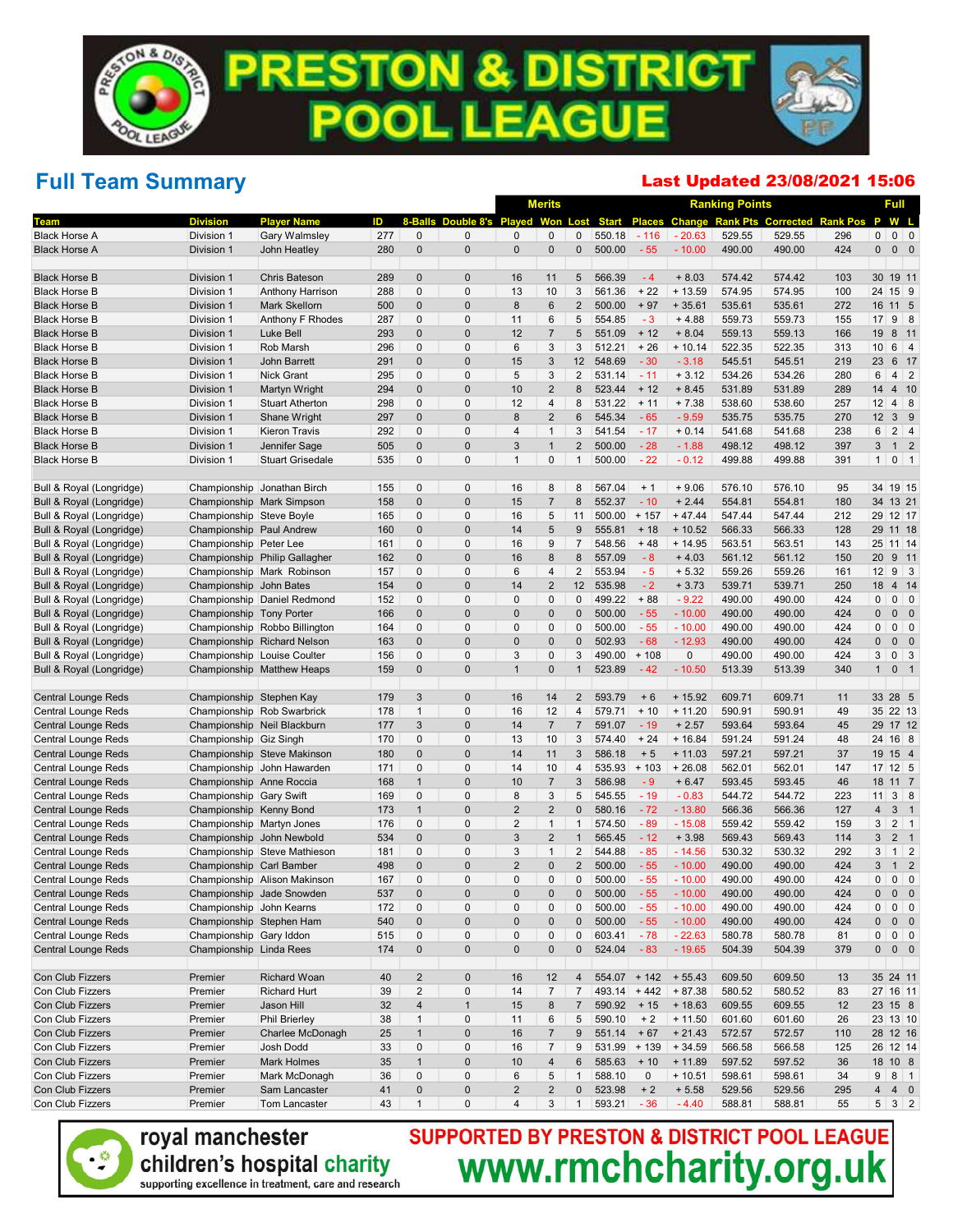## Full Team Summary

#### Last Updated 23/08/2021 15:06

|                                                   |                                                    |                               |     |                |                          |                         | <b>Merits</b>          |                   |                  |                |                      | <b>Ranking Points</b> |                                           |           |                  | <b>Full</b>       |
|---------------------------------------------------|----------------------------------------------------|-------------------------------|-----|----------------|--------------------------|-------------------------|------------------------|-------------------|------------------|----------------|----------------------|-----------------------|-------------------------------------------|-----------|------------------|-------------------|
| Геаm                                              | <b>Division</b>                                    | <b>Player Name</b>            | ID  | 8-Balls        | Double 8's Played        |                         | Won                    | Lost              | <b>Start</b>     | <b>Places</b>  |                      |                       | <b>Change Rank Pts Corrected Rank Pos</b> |           | P                | W L               |
| <b>Black Horse A</b>                              | Division 1                                         | Gary Walmsley                 | 277 | $\mathbf 0$    | $\mathbf 0$              | 0                       | 0                      | 0                 | 550.18           | $-116$         | $-20.63$             | 529.55                | 529.55                                    | 296       | $\mathbf 0$      | $0 \quad 0$       |
| <b>Black Horse A</b>                              | Division 1                                         | John Heatley                  | 280 | $\mathbf 0$    | $\mathbf 0$              | $\mathbf 0$             | $\pmb{0}$              | $\pmb{0}$         | 500.00           | $-55$          | $-10.00$             | 490.00                | 490.00                                    | 424       | $\mathbf 0$      | $0\quad 0$        |
| <b>Black Horse B</b>                              | Division 1                                         | <b>Chris Bateson</b>          | 289 | $\mathbf 0$    | $\mathbf 0$              | 16                      | 11                     | 5                 | 566.39           | $-4$           | $+8.03$              | 574.42                | 574.42                                    | 103       |                  | 30 19 11          |
| <b>Black Horse B</b>                              | Division 1                                         | Anthony Harrison              | 288 | $\mathbf 0$    | $\mathbf 0$              | 13                      | 10                     | 3                 | 561.36           | $+22$          | $+13.59$             | 574.95                | 574.95                                    | 100       |                  | 24 15 9           |
| <b>Black Horse B</b>                              | Division 1                                         | Mark Skellorn                 | 500 | $\mathbf 0$    | $\mathbf 0$              | 8                       | $6\phantom{1}$         | $\overline{2}$    | 500.00           | $+97$          | $+35.61$             | 535.61                | 535.61                                    | 272       |                  | 16 11 5           |
| <b>Black Horse B</b>                              | Division 1                                         | Anthony F Rhodes              | 287 | 0              | $\mathbf 0$              | 11                      | 6                      | 5                 | 554.85           | $-3$           | $+4.88$              | 559.73                | 559.73                                    | 155       |                  | $17$ 9 8          |
| <b>Black Horse B</b>                              | Division 1                                         | Luke Bell                     | 293 | $\mathbf 0$    | $\mathbf 0$              | 12                      | $\overline{7}$         | 5                 | 551.09           | $+12$          | $+8.04$              | 559.13                | 559.13                                    | 166       | 19               | 8 11              |
| <b>Black Horse B</b>                              | Division 1                                         | Rob Marsh                     | 296 | $\mathbf 0$    | $\mathbf 0$              | 6                       | 3                      | 3                 | 512.21           | $+26$          | $+10.14$             | 522.35                | 522.35                                    | 313       | 10 <sup>1</sup>  | $6 \mid 4$        |
| <b>Black Horse B</b>                              | Division 1                                         | John Barrett                  | 291 | $\mathbf 0$    | $\mathbf 0$              | 15                      | 3                      | 12                | 548.69           | $-30$          | $-3.18$              | 545.51                | 545.51                                    | 219       | 23               | 6 17              |
| <b>Black Horse B</b>                              | Division 1                                         | Nick Grant                    | 295 | $\mathbf 0$    | $\mathbf 0$              | 5                       | 3                      | $\overline{2}$    | 531.14           | $-11$          | $+3.12$              | 534.26                | 534.26                                    | 280       | 6                | $4 \mid 2$        |
| <b>Black Horse B</b>                              | Division 1                                         | Martyn Wright                 | 294 | $\mathbf 0$    | $\mathbf 0$              | 10                      | $\overline{2}$         | 8                 | 523.44           | $+12$          | $+8.45$              | 531.89                | 531.89                                    | 289       | 14               | 4 10              |
| <b>Black Horse B</b>                              | Division 1                                         | <b>Stuart Atherton</b>        | 298 | $\mathbf 0$    | $\mathbf 0$              | 12                      | 4                      | 8                 | 531.22           | $+11$          | $+7.38$              | 538.60                | 538.60                                    | 257       | 12               | $4 \mid 8$        |
| <b>Black Horse B</b>                              | Division 1                                         | Shane Wright                  | 297 | $\mathbf 0$    | $\mathbf 0$              | 8                       | $\overline{2}$         | 6                 | 545.34           | $-65$          | $-9.59$              | 535.75                | 535.75                                    | 270       | 12               | 3 <sup>9</sup>    |
| <b>Black Horse B</b>                              | Division 1                                         | <b>Kieron Travis</b>          | 292 | 0              | $\mathbf 0$              | $\overline{4}$          | $\mathbf{1}$           | 3                 | 541.54           | $-17$          | $+0.14$              | 541.68                | 541.68                                    | 238       | 6                | $2 \mid 4$        |
| <b>Black Horse B</b>                              | Division 1                                         | Jennifer Sage                 | 505 | $\mathbf 0$    | $\mathbf 0$              | 3                       | $\mathbf{1}$           | $\overline{2}$    | 500.00           | $-28$          | $-1.88$              | 498.12                | 498.12                                    | 397       | 3                | 1 <sub>2</sub>    |
| <b>Black Horse B</b>                              | Division 1                                         | <b>Stuart Grisedale</b>       | 535 | $\mathbf 0$    | $\mathbf 0$              | $\mathbf 1$             | $\mathbf 0$            | $\mathbf{1}$      | 500.00           | $-22$          | $-0.12$              | 499.88                | 499.88                                    | 391       | 1                | $0 \mid 1$        |
| Bull & Royal (Longridge)                          |                                                    | Championship Jonathan Birch   | 155 | 0              | $\mathbf 0$              | 16                      | 8                      | 8                 | 567.04           | $+1$           | $+9.06$              | 576.10                | 576.10                                    | 95        |                  | 34 19 15          |
| Bull & Royal (Longridge)                          |                                                    | Championship Mark Simpson     | 158 | $\mathbf 0$    | $\mathbf 0$              | 15                      | $\overline{7}$         | 8                 | 552.37           | $-10$          | $+2.44$              | 554.81                | 554.81                                    | 180       |                  | 34 13 21          |
| Bull & Royal (Longridge)                          | Championship Steve Boyle                           |                               | 165 | $\mathbf 0$    | $\mathbf 0$              | 16                      | 5                      | 11                | 500.00           | $+157$         | $+47.44$             | 547.44                | 547.44                                    | 212       |                  | 29 12 17          |
| Bull & Royal (Longridge)                          | Championship Paul Andrew                           |                               | 160 | $\mathbf 0$    | $\mathbf 0$              | 14                      | $\sqrt{5}$             | 9                 | 555.81           | $+18$          | $+10.52$             | 566.33                | 566.33                                    | 128       |                  | 29 11 18          |
| Bull & Royal (Longridge)                          | Championship Peter Lee                             |                               | 161 | 0              | $\mathbf 0$              | 16                      | 9                      | $\overline{7}$    | 548.56           | $+48$          | $+14.95$             | 563.51                | 563.51                                    | 143       |                  | 25 11 14          |
| Bull & Royal (Longridge)                          |                                                    | Championship Philip Gallagher | 162 | $\mathbf 0$    | $\mathbf 0$              | 16                      | 8                      | 8                 | 557.09           | $-8$           | $+4.03$              | 561.12                | 561.12                                    | 150       | 20               | 9 11              |
| Bull & Royal (Longridge)                          |                                                    | Championship Mark Robinson    | 157 | $\mathbf 0$    | $\mathbf 0$              | 6                       | 4                      | $\overline{2}$    | 553.94           | $-5$           | $+ 5.32$             | 559.26                | 559.26                                    | 161       | 12               | $9 \quad 3$       |
| Bull & Royal (Longridge)                          | Championship John Bates                            |                               | 154 | $\mathbf{0}$   | $\mathbf 0$              | 14                      | $\overline{2}$         | 12                | 535.98           | $-2$           | $+3.73$              | 539.71                | 539.71                                    | 250       | 18               | 4 14              |
| Bull & Royal (Longridge)                          |                                                    | Championship Daniel Redmond   | 152 | 0              | $\mathbf 0$              | 0                       | $\mathbf 0$            | 0                 | 499.22           | $+88$          | $-9.22$              | 490.00                | 490.00                                    | 424       | 0                | $0 \mid 0$        |
| Bull & Royal (Longridge)                          | Championship Tony Porter                           |                               | 166 | $\mathbf{0}$   | $\mathbf 0$              | $\mathbf 0$             | $\mathbf 0$            | 0                 | 500.00           | $-55$          | $-10.00$             | 490.00                | 490.00                                    | 424       | $\mathbf 0$      | $0\quad 0$        |
| Bull & Royal (Longridge)                          |                                                    | Championship Robbo Billington | 164 | $\mathbf 0$    | $\mathbf 0$              | 0                       | $\mathbf 0$            | 0                 | 500.00           | $-55$          | $-10.00$             | 490.00                | 490.00                                    | 424       | $\mathbf 0$      | $0 \mid 0$        |
| Bull & Royal (Longridge)                          |                                                    | Championship Richard Nelson   | 163 | $\mathbf{0}$   | $\mathbf 0$              | 0                       | $\mathbf 0$            | $\pmb{0}$         | 502.93           | $-68$          | $-12.93$             | 490.00                | 490.00                                    | 424       | $\mathbf 0$      | $0\quad 0$        |
| Bull & Royal (Longridge)                          |                                                    | Championship Louise Coulter   | 156 | 0              | $\mathbf 0$              | 3<br>$\mathbf{1}$       | $\mathbf 0$            | 3<br>$\mathbf{1}$ | 490.00           | $+108$         | 0                    | 490.00                | 490.00                                    | 424       | 3                | $0 \mid 3$        |
| Bull & Royal (Longridge)                          |                                                    | Championship Matthew Heaps    | 159 | $\mathbf{0}$   | $\mathbf 0$              |                         | $\pmb{0}$              |                   | 523.89           | $-42$          | $-10.50$             | 513.39                | 513.39                                    | 340       | $\mathbf{1}$     | 0 <sub>1</sub>    |
| Central Lounge Reds                               | Championship Stephen Kay                           |                               | 179 | 3              | $\mathbf 0$              | 16                      | 14                     | $\overline{2}$    | 593.79           | $+6$           | $+15.92$             | 609.71                | 609.71                                    | 11        |                  | 33 28 5           |
| <b>Central Lounge Reds</b>                        |                                                    | Championship Rob Swarbrick    | 178 | $\mathbf{1}$   | $\mathbf 0$              | 16                      | 12                     | 4                 | 579.71           | $+10$          | $+11.20$             | 590.91                | 590.91                                    | 49        |                  | 35 22 13          |
| <b>Central Lounge Reds</b>                        |                                                    | Championship Neil Blackburn   | 177 | 3              | $\mathbf 0$              | 14                      | $\overline{7}$         | $\overline{7}$    | 591.07           | $-19$          | $+2.57$              | 593.64                | 593.64                                    | 45        |                  | 29 17 12          |
| <b>Central Lounge Reds</b>                        | Championship Giz Singh                             |                               | 170 | $\mathbf 0$    | $\mathbf 0$              | 13                      | 10                     | 3                 | 574.40           | $+24$          | $+16.84$             | 591.24                | 591.24                                    | 48        |                  | 24 16 8           |
| <b>Central Lounge Reds</b>                        |                                                    | Championship Steve Makinson   | 180 | $\mathbf 0$    | $\mathbf 0$              | 14                      | 11                     | 3                 | 586.18           | $+5$           | $+11.03$             | 597.21                | 597.21                                    | 37        |                  | 19 15 4           |
| <b>Central Lounge Reds</b>                        |                                                    | Championship John Hawarden    | 171 | $\mathbf 0$    | $\mathbf 0$              | 14                      | 10                     | 4                 | 535.93           | $+103$         | $+26.08$             | 562.01                | 562.01                                    | 147       |                  | 17 12 5           |
| <b>Central Lounge Reds</b>                        | Championship Anne Roccia                           |                               | 168 | $\mathbf{1}$   | $\mathbf 0$              | 10                      | $\overline{7}$         | 3                 | 586.98           | $-9$           | $+6.47$              | 593.45                | 593.45                                    | 46        |                  | 18 11 7           |
| Central Lounge Reds                               | Championship Gary Swift                            |                               | 169 | $\mathbf 0$    | $\mathbf 0$              | 8                       | 3                      | 5                 | 545.55           | $-19$          | $-0.83$              | 544.72                | 544.72                                    | 223       | 11               | $3 \mid 8$        |
| Central Lounge Reds                               | Championship Kenny Bond                            |                               | 173 | $\mathbf{1}$   | $\mathbf 0$              | $\overline{2}$          | $\overline{2}$         | $\pmb{0}$         | 580.16           | $-72$          | $-13.80$             | 566.36                | 566.36                                    | 127       | $\overline{4}$   | 3 <sub>1</sub>    |
| <b>Central Lounge Reds</b>                        | Championship Martyn Jones                          |                               | 176 | $\mathbf 0$    | $\mathbf 0$              | $\overline{2}$          | $\mathbf{1}$           | $\mathbf{1}$      | 574.50           | $-89$          | $-15.08$             | 559.42                | 559.42                                    | 159       | 3                | $2 \mid 1$        |
| <b>Central Lounge Reds</b>                        | Championship John Newbold                          |                               | 534 | $\mathbf 0$    | $\mathbf 0$              | 3                       | $\overline{2}$         | $\mathbf{1}$      | 565.45           | $-12$          | $+3.98$              | 569.43                | 569.43                                    | 114       | 3                | 2 <sub>1</sub>    |
| Central Lounge Reds                               |                                                    | Championship Steve Mathieson  | 181 | $\mathbf 0$    | $\mathbf 0$              | 3                       | $\mathbf{1}$           | $\overline{2}$    | 544.88           | $-85$          | $-14.56$             | 530.32                | 530.32                                    | 292       | 3                | $1 \vert 2$       |
| <b>Central Lounge Reds</b>                        | Championship Carl Bamber                           |                               | 498 | $\mathbf 0$    | $\mathbf 0$              | $\overline{2}$          | $\pmb{0}$              | $\overline{2}$    | 500.00           | $-55$          | $-10.00$             | 490.00                | 490.00                                    | 424       | 3                | $1\quad 2$        |
| <b>Central Lounge Reds</b>                        |                                                    | Championship Alison Makinson  | 167 | $\mathbf{0}$   | $\mathbf 0$              | $\mathbf{0}$            | $\mathbf{0}$           | $\mathbf{0}$      | 500.00           | $-55$          | $-10.00$             | 490.00                | 490.00                                    | 424       | $\mathbf 0$      | $0 \quad 0$       |
| <b>Central Lounge Reds</b>                        |                                                    | Championship Jade Snowden     | 537 | $\mathbf 0$    | 0                        | $\Omega$                | $\overline{0}$         | $\mathbf{0}$      | 500.00           | 55             | $-10.00$             | 490.00                | 490.00                                    | 424       | $\mathbf 0$      | $0\quad 0$        |
| <b>Central Lounge Reds</b>                        | Championship John Kearns                           |                               | 172 | $\mathbf 0$    | $\bf 0$                  | $\mathbf 0$             | $\mathbf 0$            | 0                 | 500.00           | $-55$          | $-10.00$             | 490.00                | 490.00                                    | 424       | 0                | $0 \mid 0$        |
| <b>Central Lounge Reds</b>                        | Championship Stephen Ham                           |                               | 540 | $\mathbf 0$    | $\pmb{0}$                | 0                       | $\pmb{0}$              | 0                 | 500.00           | $-55$          | $-10.00$             | 490.00                | 490.00                                    | 424       | $\mathbf 0$      | $0\quad 0$        |
| Central Lounge Reds<br><b>Central Lounge Reds</b> | Championship Gary Iddon<br>Championship Linda Rees |                               | 515 | 0<br>$\pmb{0}$ | $\pmb{0}$<br>$\mathbf 0$ | $\pmb{0}$<br>0          | $\pmb{0}$<br>$\pmb{0}$ | 0<br>$\pmb{0}$    | 603.41<br>524.04 | $-78$<br>$-83$ | $-22.63$<br>$-19.65$ | 580.78<br>504.39      | 580.78                                    | 81<br>379 | 0<br>$\mathbf 0$ | $0 \mid 0$        |
|                                                   |                                                    |                               | 174 |                |                          |                         |                        |                   |                  |                |                      |                       | 504.39                                    |           |                  | $0\quad 0$        |
| Con Club Fizzers                                  | Premier                                            | Richard Woan                  | 40  | $\overline{2}$ | $\mathbf 0$              | 16                      | 12                     | 4                 | $554.07 + 142$   |                | $+55.43$             | 609.50                | 609.50                                    | 13        |                  | 35 24 11          |
| Con Club Fizzers                                  | Premier                                            | <b>Richard Hurt</b>           | 39  | $\overline{2}$ | $\pmb{0}$                | 14                      | $\overline{7}$         | $\overline{7}$    | $493.14 + 442$   |                | $+87.38$             | 580.52                | 580.52                                    | 83        |                  | 27 16 11          |
| Con Club Fizzers                                  | Premier                                            | Jason Hill                    | 32  | $\overline{4}$ | $\mathbf{1}$             | 15                      | $\bf 8$                | $\overline{7}$    | 590.92           | $+15$          | $+18.63$             | 609.55                | 609.55                                    | 12        |                  | 23 15 8           |
| Con Club Fizzers                                  | Premier                                            | <b>Phil Brierley</b>          | 38  | $\mathbf{1}$   | $\pmb{0}$                | 11                      | $\,6$                  | 5                 | 590.10           | $+2$           | $+11.50$             | 601.60                | 601.60                                    | 26        |                  | 23 13 10          |
| Con Club Fizzers                                  | Premier                                            | Charlee McDonagh              | 25  | $\mathbf{1}$   | $\pmb{0}$                | 16                      | $\overline{7}$         | 9                 | 551.14           | $+67$          | $+21.43$             | 572.57                | 572.57                                    | 110       |                  | 28 12 16          |
| Con Club Fizzers                                  | Premier                                            | Josh Dodd                     | 33  | $\mathbf 0$    | $\pmb{0}$                | 16                      | $\overline{7}$         | 9                 | 531.99           | $+139$         | $+34.59$             | 566.58                | 566.58                                    | 125       |                  | 26 12 14          |
| Con Club Fizzers                                  | Premier                                            | <b>Mark Holmes</b>            | 35  | $\mathbf{1}$   | $\pmb{0}$                | 10                      | $\overline{4}$         | 6                 | 585.63           | $+10$          | $+ 11.89$            | 597.52                | 597.52                                    | 36        |                  | 18 10 8           |
| Con Club Fizzers                                  | Premier                                            | Mark McDonagh                 | 36  | $\pmb{0}$      | $\pmb{0}$                | 6                       | $\sqrt{5}$             | $\mathbf{1}$      | 588.10           | $\mathbf 0$    | $+10.51$             | 598.61                | 598.61                                    | 34        | 9 <sup>1</sup>   | $8 \mid 1$        |
| Con Club Fizzers                                  | Premier                                            | Sam Lancaster                 | 41  | $\pmb{0}$      | $\pmb{0}$                | $\overline{\mathbf{c}}$ | $\overline{c}$         | 0                 | 523.98           | $+2$           | $+5.58$              | 529.56                | 529.56                                    | 295       | $\overline{4}$   | $4\quad 0$        |
| Con Club Fizzers                                  | Premier                                            | Tom Lancaster                 | 43  | $\mathbf{1}$   | $\mathbf 0$              | $\overline{4}$          | 3                      | $\mathbf{1}$      | 593.21           | $-36$          | $-4.40$              | 588.81                | 588.81                                    | 55        |                  | $5 \mid 3 \mid 2$ |

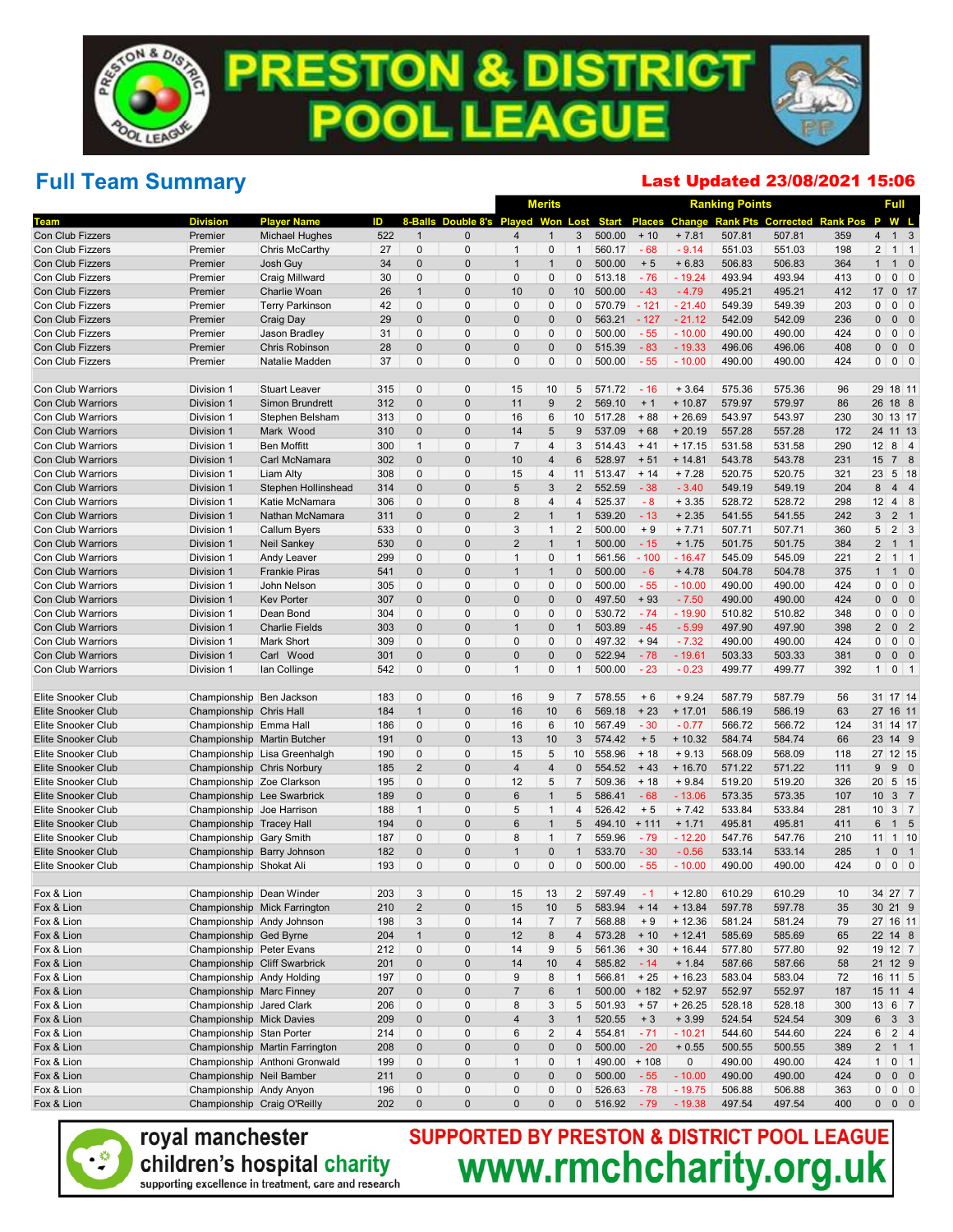## Full Team Summary

#### Last Updated 23/08/2021 15:06

|                                               |                            |                                     |            |                   |                                      |                         | <b>Merits</b>                    |                                |                  |                 |                       | <b>Ranking Points</b> |                                           |            |                                  | Full                       |
|-----------------------------------------------|----------------------------|-------------------------------------|------------|-------------------|--------------------------------------|-------------------------|----------------------------------|--------------------------------|------------------|-----------------|-----------------------|-----------------------|-------------------------------------------|------------|----------------------------------|----------------------------|
| Team                                          | <b>Division</b>            | <b>Player Name</b>                  | ID         |                   | <b>8-Balls Double 8's Played Won</b> |                         |                                  | Lost                           | <b>Start</b>     |                 |                       |                       | Places Change Rank Pts Corrected Rank Pos |            | P                                | W L                        |
| Con Club Fizzers                              | Premier                    | <b>Michael Hughes</b>               | 522        | $\mathbf{1}$      | $\mathbf{0}$                         | $\overline{4}$          | $\overline{1}$                   | 3                              | 500.00           | $+10$           | $+7.81$               | 507.81                | 507.81                                    | 359        | $\overline{4}$                   | $1 \quad 3$                |
| Con Club Fizzers                              | Premier                    | Chris McCarthy                      | 27         | $\mathbf 0$       | $\mathbf 0$                          | $\mathbf{1}$            | $\pmb{0}$                        | $\mathbf{1}$                   | 560.17           | $-68$           | $-9.14$               | 551.03                | 551.03                                    | 198        | $\overline{2}$                   | $1 \vert 1$                |
| Con Club Fizzers                              | Premier                    | Josh Guy                            | 34         | $\mathbf 0$       | $\mathbf 0$                          | $\mathbf 1$             | $\overline{1}$                   | $\mathbf 0$                    | 500.00           | $+5$            | $+6.83$               | 506.83                | 506.83                                    | 364        | $\mathbf{1}$                     | $1 \quad 0$                |
| Con Club Fizzers                              | Premier                    | Craig Millward                      | 30         | 0                 | $\mathbf 0$                          | $\mathbf{0}$            | $\mathbf 0$                      | 0                              | 513.18           | $-76$           | $-19.24$              | 493.94                | 493.94                                    | 413        | $\mathbf 0$                      | $0$ 0                      |
| <b>Con Club Fizzers</b>                       | Premier                    | Charlie Woan                        | 26         | $\mathbf{1}$      | $\mathbf 0$                          | 10                      | $\pmb{0}$                        | 10                             | 500.00           | $-43$           | $-4.79$               | 495.21                | 495.21                                    | 412        | 17                               | $0$ 17                     |
| Con Club Fizzers                              | Premier                    | <b>Terry Parkinson</b>              | 42         | 0                 | $\mathbf 0$                          | $\mathbf 0$             | $\mathbf 0$                      | 0                              | 570.79           | $-121$          | $-21.40$              | 549.39                | 549.39                                    | 203        | $\mathbf 0$                      | $0$ 0                      |
| Con Club Fizzers                              | Premier                    | Craig Day                           | 29         | $\mathbf 0$       | $\mathbf 0$                          | $\mathbf{0}$            | $\pmb{0}$                        | 0                              | 563.21           | $-127$          | $-21.12$              | 542.09                | 542.09                                    | 236        | $\mathbf{0}$                     | $0\quad 0$                 |
| Con Club Fizzers                              | Premier                    | Jason Bradley                       | 31         | 0                 | $\mathbf 0$                          | $\mathbf{0}$            | $\mathbf 0$                      | $\mathbf{0}$                   | 500.00           | $-55$           | $-10.00$              | 490.00                | 490.00                                    | 424        | $\mathbf{0}$                     | $0$ 0                      |
| Con Club Fizzers                              | Premier                    | Chris Robinson                      | 28         | $\mathbf 0$       | $\mathbf 0$                          | $\bf 0$                 | $\pmb{0}$                        | 0                              | 515.39           | $-83$           | $-19.33$              | 496.06                | 496.06                                    | 408        | $\pmb{0}$                        | $0\quad 0$                 |
| Con Club Fizzers                              | Premier                    | Natalie Madden                      | 37         | 0                 | $\mathbf 0$                          | $\mathbf{0}$            | $\mathbf 0$                      | 0                              | 500.00           | $-55$           | $-10.00$              | 490.00                | 490.00                                    | 424        | $\mathbf 0$                      | $0$ 0                      |
| Con Club Warriors                             | Division 1                 | <b>Stuart Leaver</b>                | 315        | 0                 | $\mathbf 0$                          | 15                      | 10                               | 5                              | 571.72           | $-16$           | $+3.64$               | 575.36                | 575.36                                    | 96         | 29 18 11                         |                            |
| <b>Con Club Warriors</b>                      | Division 1                 | <b>Simon Brundrett</b>              | 312        | $\mathbf 0$       | $\mathbf 0$                          | 11                      | 9                                | $\overline{2}$                 | 569.10           | $+1$            | $+10.87$              | 579.97                | 579.97                                    | 86         | 26 18 8                          |                            |
| Con Club Warriors                             | Division 1                 | Stephen Belsham                     | 313        | 0                 | $\mathbf 0$                          | 16                      | 6                                | 10                             | 517.28           | $+88$           | $+26.69$              | 543.97                | 543.97                                    | 230        | 30 13 17                         |                            |
| <b>Con Club Warriors</b>                      | Division 1                 | Mark Wood                           | 310        | $\mathbf 0$       | $\mathbf 0$                          | 14                      | 5                                | 9                              | 537.09           | $+68$           | $+20.19$              | 557.28                | 557.28                                    | 172        | 24 11 13                         |                            |
| Con Club Warriors                             | Division 1                 | <b>Ben Moffitt</b>                  | 300        | $\mathbf{1}$      | $\mathbf 0$                          | $\overline{7}$          | $\overline{4}$                   | 3                              | 514.43           | $+41$           | $+17.15$              | 531.58                | 531.58                                    | 290        | 12                               | $8 \mid 4$                 |
| <b>Con Club Warriors</b>                      | Division 1                 | Carl McNamara                       | 302        | $\pmb{0}$         | $\mathbf 0$                          | 10                      | $\overline{4}$                   | 6                              | 528.97           | $+51$           | $+14.81$              | 543.78                | 543.78                                    | 231        | 15                               | 7 8                        |
| Con Club Warriors                             | Division 1                 | Liam Alty                           | 308        | 0                 | $\mathbf 0$                          | 15                      | $\overline{4}$                   | 11                             | 513.47           | $+ 14$          | $+7.28$               | 520.75                | 520.75                                    | 321        | 23                               | $5 \vert 18$               |
| <b>Con Club Warriors</b>                      | Division 1                 | Stephen Hollinshead                 | 314        | $\mathbf 0$       | $\mathbf 0$                          | 5                       | $\mathbf{3}$                     | $\overline{2}$                 | 552.59           | $-38$           | $-3.40$               | 549.19                | 549.19                                    | 204        | 8                                | 44                         |
| Con Club Warriors                             | Division 1                 | Katie McNamara                      | 306        | 0                 | $\mathbf 0$                          | 8                       | $\overline{4}$                   | 4                              | 525.37           | $-8$            | $+3.35$               | 528.72                | 528.72                                    | 298        | 12                               | $4 \quad 8$                |
| <b>Con Club Warriors</b>                      | Division 1                 | Nathan McNamara                     | 311        | $\mathbf 0$       | $\mathbf 0$                          | $\overline{2}$          | $\overline{1}$                   | $\mathbf{1}$                   | 539.20           | $-13$           | $+2.35$               | 541.55                | 541.55                                    | 242        | 3                                | 2 <sub>1</sub>             |
| Con Club Warriors                             | Division 1                 | Callum Byers                        | 533        | 0                 | $\mathbf 0$                          | 3<br>$\overline{2}$     | $\overline{1}$<br>$\overline{1}$ | $\overline{2}$<br>$\mathbf{1}$ | 500.00           | $+9$            | $+7.71$               | 507.71<br>501.75      | 507.71                                    | 360        | 5                                | $2 \overline{3}$           |
| <b>Con Club Warriors</b><br>Con Club Warriors | Division 1                 | <b>Neil Sankey</b>                  | 530<br>299 | $\mathbf 0$<br>0  | $\mathbf 0$<br>$\mathbf 0$           | $\mathbf{1}$            | $\pmb{0}$                        | $\mathbf{1}$                   | 500.00<br>561.56 | $-15$<br>$-100$ | $+1.75$<br>$-16.47$   | 545.09                | 501.75<br>545.09                          | 384<br>221 | $\overline{2}$<br>$\overline{2}$ | $1 \quad 1$<br>$1 \vert 1$ |
| <b>Con Club Warriors</b>                      | Division 1<br>Division 1   | Andy Leaver<br><b>Frankie Piras</b> | 541        | $\mathbf 0$       | $\mathbf 0$                          | $\mathbf{1}$            | $\overline{1}$                   | $\mathbf 0$                    | 500.00           | $-6$            | $+4.78$               | 504.78                | 504.78                                    | 375        | $\mathbf{1}$                     | $1 \quad 0$                |
| Con Club Warriors                             | Division 1                 | John Nelson                         | 305        | 0                 | $\mathbf 0$                          | $\mathbf 0$             | $\mathbf 0$                      | 0                              | 500.00           | $-55$           | $-10.00$              | 490.00                | 490.00                                    | 424        | $\mathbf{0}$                     | $0$ 0                      |
| <b>Con Club Warriors</b>                      | Division 1                 | <b>Kev Porter</b>                   | 307        | $\mathbf 0$       | $\mathbf 0$                          | $\mathbf 0$             | $\pmb{0}$                        | $\mathbf 0$                    | 497.50           | $+93$           | $-7.50$               | 490.00                | 490.00                                    | 424        | $\mathbf{0}$                     | $0\quad 0$                 |
| Con Club Warriors                             | Division 1                 | Dean Bond                           | 304        | 0                 | $\mathbf 0$                          | $\mathbf{0}$            | $\mathbf 0$                      | 0                              | 530.72           | $-74$           | $-19.90$              | 510.82                | 510.82                                    | 348        | $\mathbf{0}$                     | $0$ 0                      |
| <b>Con Club Warriors</b>                      | Division 1                 | <b>Charlie Fields</b>               | 303        | $\pmb{0}$         | $\mathbf 0$                          | $\mathbf{1}$            | $\pmb{0}$                        | $\mathbf{1}$                   | 503.89           | $-45$           | $-5.99$               | 497.90                | 497.90                                    | 398        | $\overline{2}$                   | 0 <sub>2</sub>             |
| Con Club Warriors                             | Division 1                 | <b>Mark Short</b>                   | 309        | 0                 | $\mathbf 0$                          | $\mathbf 0$             | $\mathbf 0$                      | $\mathbf{0}$                   | 497.32           | $+94$           | $-7.32$               | 490.00                | 490.00                                    | 424        | $\mathbf{0}$                     | $0$ 0                      |
| <b>Con Club Warriors</b>                      | Division 1                 | Carl Wood                           | 301        | $\mathbf 0$       | $\mathbf 0$                          | $\Omega$                | $\overline{0}$                   | $\mathbf 0$                    | 522.94           | $-78$           | $-19.61$              | 503.33                | 503.33                                    | 381        | $\pmb{0}$                        | $0\quad 0$                 |
| Con Club Warriors                             | Division 1                 | lan Collinge                        | 542        | $\mathbf{0}$      | $\mathbf 0$                          | $\mathbf{1}$            | 0                                | $\mathbf{1}$                   | 500.00           | $-23$           | $-0.23$               | 499.77                | 499.77                                    | 392        | 1                                | $0 \mid 1$                 |
|                                               |                            |                                     |            |                   |                                      |                         |                                  |                                |                  |                 |                       |                       |                                           |            |                                  |                            |
| Elite Snooker Club                            | Championship Ben Jackson   |                                     | 183        | 0                 | $\mathbf 0$                          | 16                      | 9                                | $\overline{7}$                 | 578.55           | $+6$            | $+9.24$               | 587.79                | 587.79                                    | 56         | 31 17 14<br>27                   |                            |
| Elite Snooker Club<br>Elite Snooker Club      | Championship Chris Hall    |                                     | 184        | $\mathbf{1}$<br>0 | $\mathbf 0$<br>$\mathbf 0$           | 16<br>16                | 10<br>$6\phantom{1}$             | 6<br>10                        | 569.18<br>567.49 | $+23$<br>$-30$  | $+17.01$<br>$-0.77$   | 586.19<br>566.72      | 586.19<br>566.72                          | 63<br>124  | 31 14 17                         | 16 11                      |
| Elite Snooker Club                            | Championship Emma Hall     | Championship Martin Butcher         | 186<br>191 | $\pmb{0}$         | $\mathbf 0$                          | 13                      | 10                               | 3                              | 574.42           | $+5$            | $+10.32$              | 584.74                | 584.74                                    | 66         | 23 14 9                          |                            |
| Elite Snooker Club                            |                            | Championship Lisa Greenhalgh        | 190        | 0                 | $\mathbf 0$                          | 15                      | $\,$ 5                           | 10                             | 558.96           | $+18$           | $+9.13$               | 568.09                | 568.09                                    | 118        | 27 12 15                         |                            |
| Elite Snooker Club                            | Championship Chris Norbury |                                     | 185        | $\overline{2}$    | $\mathbf 0$                          | $\overline{\mathbf{4}}$ | $\overline{4}$                   | $\pmb{0}$                      | 554.52           | $+43$           | $+16.70$              | 571.22                | 571.22                                    | 111        | 9                                | 90                         |
| Elite Snooker Club                            | Championship Zoe Clarkson  |                                     | 195        | 0                 | $\mathbf 0$                          | 12                      | 5                                | $\overline{7}$                 | 509.36           | $+18$           | $+9.84$               | 519.20                | 519.20                                    | 326        | 20                               | $5 \vert 15$               |
| <b>Elite Snooker Club</b>                     |                            | Championship Lee Swarbrick          | 189        | $\pmb{0}$         | $\mathbf 0$                          | 6                       | $\overline{1}$                   | 5                              | 586.41           | $-68$           | $-13.06$              | 573.35                | 573.35                                    | 107        | 10                               | 3 <sub>7</sub>             |
| Elite Snooker Club                            | Championship Joe Harrison  |                                     | 188        | $\mathbf{1}$      | $\mathbf 0$                          | 5                       | $\overline{1}$                   | 4                              | 526.42           | $+5$            | $+7.42$               | 533.84                | 533.84                                    | 281        | 10                               | $3 \mid 7$                 |
| <b>Elite Snooker Club</b>                     | Championship Tracey Hall   |                                     | 194        | $\pmb{0}$         | $\mathbf 0$                          | 6                       | $\overline{1}$                   | 5                              | 494.10           | $+ 111$         | $+ 1.71$              | 495.81                | 495.81                                    | 411        | 6                                | $1\quad5$                  |
| Elite Snooker Club                            | Championship Gary Smith    |                                     | 187        | 0                 | $\mathbf 0$                          | 8                       | $\overline{1}$                   | $\overline{7}$                 | 559.96           | $-79$           | $-12.20$              | 547.76                | 547.76                                    | 210        | 11                               | $1 \vert 10$               |
| Elite Snooker Club                            |                            | Championship Barry Johnson          | 182        | $\mathbf 0$       | $\mathbf 0$                          | $\mathbf{1}$            | $\pmb{0}$                        | $\mathbf{1}$                   | 533.70           | $-30$           | $-0.56$               | 533.14                | 533.14                                    | 285        | $\mathbf{1}$                     | 0 <sub>1</sub>             |
| Elite Snooker Club                            | Championship Shokat Ali    |                                     | 193        | $\mathbf{0}$      | $\mathbf 0$                          | $\mathbf 0$             | $\mathbf{0}$                     | $\mathbf{0}$                   | 500.00           | $-55$           | $-10.00$              | 490.00                | 490.00                                    | 424        | $\mathbf{0}$                     | $0 \mid 0$                 |
|                                               |                            |                                     |            |                   |                                      |                         |                                  |                                |                  | - 1             |                       |                       |                                           |            |                                  |                            |
| Fox & Lion<br>Fox & Lion                      | Championship Dean Winder   | Championship Mick Farrington        | 203<br>210 | 3<br>$\sqrt{2}$   | 0<br>$\pmb{0}$                       | 15<br>15                | 13<br>10                         | 2<br>5                         | 597.49<br>583.94 | $+14$           | $+12.80$<br>$+ 13.84$ | 610.29<br>597.78      | 610.29<br>597.78                          | 10<br>35   | 34 27 7<br>30 21 9               |                            |
| Fox & Lion                                    |                            | Championship Andy Johnson           | 198        | 3                 | $\mathbf 0$                          | 14                      | $\overline{7}$                   | $\overline{7}$                 | 568.88           | $+9$            | $+12.36$              | 581.24                | 581.24                                    | 79         | 27 16 11                         |                            |
| Fox & Lion                                    | Championship Ged Byrne     |                                     | 204        | $\mathbf{1}$      | $\pmb{0}$                            | 12                      | 8                                | 4                              | 573.28           | $+10$           | $+ 12.41$             | 585.69                | 585.69                                    | 65         | 22 14 8                          |                            |
| Fox & Lion                                    | Championship Peter Evans   |                                     | 212        | 0                 | $\pmb{0}$                            | 14                      | $9\,$                            | 5                              | 561.36           | $+30$           | $+16.44$              | 577.80                | 577.80                                    | 92         | 19 12 7                          |                            |
| Fox & Lion                                    |                            | Championship Cliff Swarbrick        | 201        | $\pmb{0}$         | $\pmb{0}$                            | 14                      | 10                               | 4                              | 585.82           | $-14$           | $+ 1.84$              | 587.66                | 587.66                                    | 58         | 21 12 9                          |                            |
| Fox & Lion                                    | Championship Andy Holding  |                                     | 197        | 0                 | $\pmb{0}$                            | 9                       | 8                                | $\mathbf{1}$                   | 566.81           | $+25$           | $+16.23$              | 583.04                | 583.04                                    | 72         | 16 11 5                          |                            |
| Fox & Lion                                    | Championship Marc Finney   |                                     | 207        | $\pmb{0}$         | $\pmb{0}$                            | $\overline{7}$          | $\,6$                            | $\mathbf{1}$                   | 500.00           | $+182$          | $+52.97$              | 552.97                | 552.97                                    | 187        | 15 11 4                          |                            |
| Fox & Lion                                    | Championship Jared Clark   |                                     | 206        | 0                 | $\pmb{0}$                            | 8                       | $\mathbf{3}$                     | 5                              | 501.93           | $+57$           | $+26.25$              | 528.18                | 528.18                                    | 300        | $13 \ 6 \ 7$                     |                            |
| Fox & Lion                                    | Championship Mick Davies   |                                     | 209        | $\pmb{0}$         | $\pmb{0}$                            | $\sqrt{4}$              | $\ensuremath{\mathsf{3}}$        | $\mathbf{1}$                   | 520.55           | $+3$            | $+3.99$               | 524.54                | 524.54                                    | 309        | 6                                | 3 <sup>3</sup>             |
| Fox & Lion                                    | Championship Stan Porter   |                                     | 214        | 0                 | $\pmb{0}$                            | 6                       | $\overline{c}$                   | 4                              | 554.81           | $-71$           | $-10.21$              | 544.60                | 544.60                                    | 224        | 6                                | $2 \mid 4$                 |
| Fox & Lion                                    |                            | Championship Martin Farrington      | 208        | $\pmb{0}$         | $\pmb{0}$                            | 0                       | $\pmb{0}$                        | 0                              | 500.00           | $-20$           | $+0.55$               | 500.55                | 500.55                                    | 389        | $\overline{2}$                   | $1 \quad 1$                |
| Fox & Lion                                    |                            | Championship Anthoni Gronwald       | 199        | 0                 | $\pmb{0}$                            | $\mathbf{1}$            | $\mathbf 0$                      | $\mathbf{1}$                   | 490.00           | $+108$          | 0                     | 490.00                | 490.00                                    | 424        | $\mathbf{1}$                     | $0 \mid 1$                 |
| Fox & Lion                                    | Championship Neil Bamber   |                                     | 211        | $\pmb{0}$         | $\pmb{0}$                            | 0                       | $\pmb{0}$                        | 0                              | 500.00           | $-55$           | $-10.00$              | 490.00                | 490.00                                    | 424        | $\pmb{0}$                        | $0\quad 0$                 |
| Fox & Lion                                    | Championship Andy Anyon    |                                     | 196        | 0                 | $\pmb{0}$                            | 0                       | $\pmb{0}$                        | 0                              | 526.63           | $-78$           | $-19.75$              | 506.88                | 506.88                                    | 363        | 0                                | $0 \mid 0$                 |
| Fox & Lion                                    |                            | Championship Craig O'Reilly         | 202        | $\pmb{0}$         | $\pmb{0}$                            | 0                       | $\pmb{0}$                        | 0                              | 516.92           | $-79$           | $-19.38$              | 497.54                | 497.54                                    | 400        | $\mathbf{0}$                     | $0\quad 0$                 |



SUPPORTED BY PRESTON & DISTRICT POOL LEAGUE<br>WWW.rmchcharity.org.uk children's hospital charity supporting excellence in treatment, care and research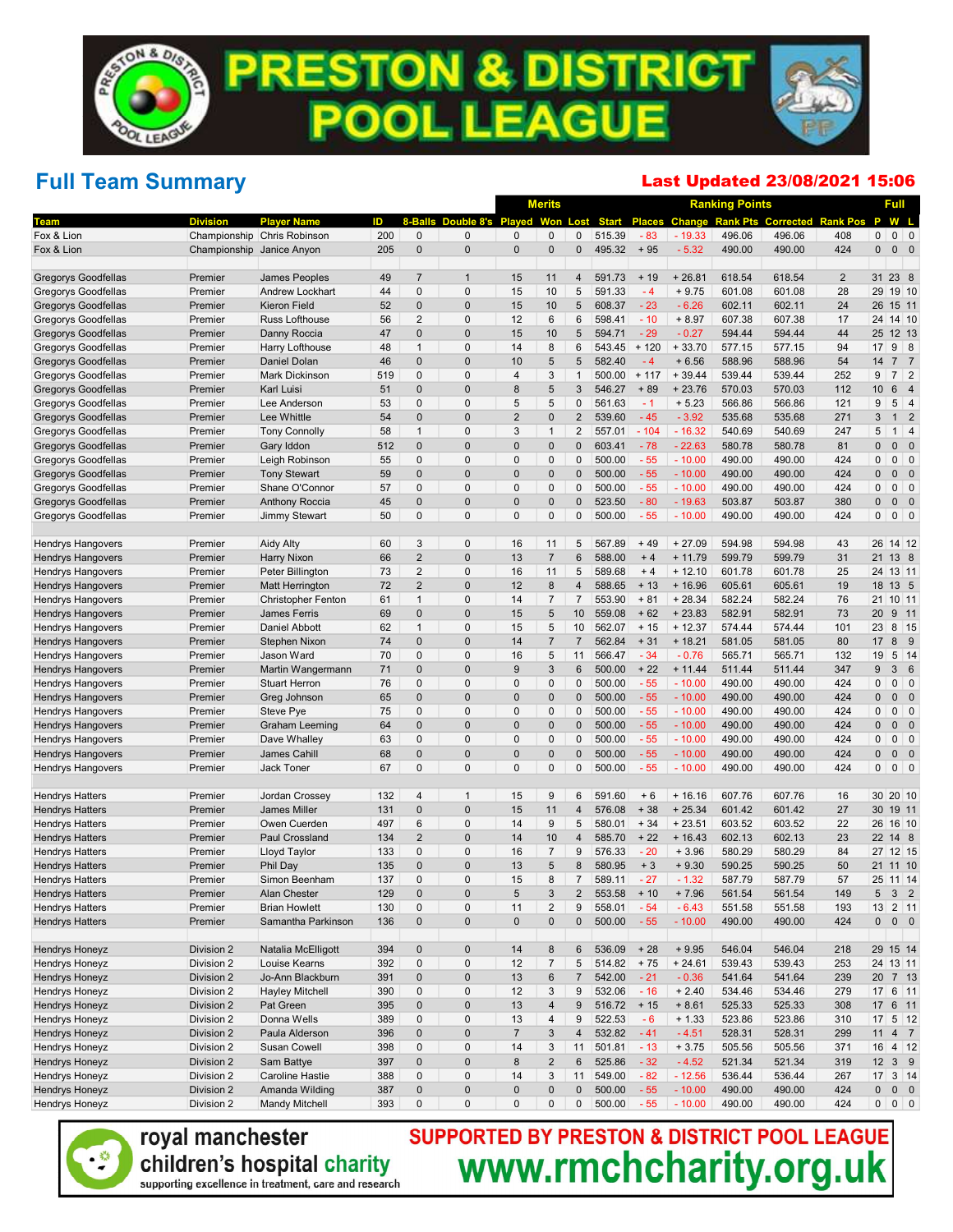## Full Team Summary

#### Last Updated 23/08/2021 15:06

|                                                      |                           |                                         |            |                            |                              |                                | <b>Merits</b>            |                     |                  |                |                      | <b>Ranking Points</b> |                  |                                           |                         | Full                                        |
|------------------------------------------------------|---------------------------|-----------------------------------------|------------|----------------------------|------------------------------|--------------------------------|--------------------------|---------------------|------------------|----------------|----------------------|-----------------------|------------------|-------------------------------------------|-------------------------|---------------------------------------------|
|                                                      | <b>Division</b>           | <b>Player Name</b>                      | ID         |                            | Double 8's Played            |                                | <b>Won Lost</b>          |                     | <b>Start</b>     | <b>Places</b>  |                      |                       |                  | <b>Change Rank Pts Corrected Rank Pos</b> | P                       | W L                                         |
| Fox & Lion                                           |                           | Championship Chris Robinson             | 200        | $\mathbf 0$                | $\mathbf{0}$                 | $\mathbf 0$                    | $\mathbf{0}$             | 0                   | 515.39           | $-83$          | $-19.33$             | 496.06                | 496.06           | 408                                       | $\mathbf 0$             | $0 \mid 0$                                  |
| Fox & Lion                                           | Championship Janice Anyon |                                         | 205        | $\mathbf 0$                | $\mathbf 0$                  | $\mathbf 0$                    | $\mathbf 0$              | $\pmb{0}$           | 495.32           | $+95$          | $-5.32$              | 490.00                | 490.00           | 424                                       | $\mathbf{0}$            | $0\quad 0$                                  |
| <b>Gregorys Goodfellas</b>                           | Premier                   | James Peoples                           | 49         | $\overline{7}$             | $\overline{1}$               | 15                             | 11                       | 4                   | 591.73           | $+19$          | $+26.81$             | 618.54                | 618.54           | $\overline{2}$                            | 31                      | 23 8                                        |
| Gregorys Goodfellas                                  | Premier                   | Andrew Lockhart                         | 44         | $\mathbf 0$                | $\mathbf 0$                  | 15                             | 10                       | 5                   | 591.33           | $-4$           | $+9.75$              | 601.08                | 601.08           | 28                                        |                         | 29 19 10                                    |
| <b>Gregorys Goodfellas</b>                           | Premier                   | <b>Kieron Field</b>                     | 52         | $\mathbf 0$                | $\mathbf 0$                  | 15                             | 10                       | 5                   | 608.37           | $-23$          | $-6.26$              | 602.11                | 602.11           | 24                                        | 26                      | 15 11                                       |
| Gregorys Goodfellas                                  | Premier                   | Russ Lofthouse                          | 56         | 2                          | $\mathbf 0$                  | 12                             | 6                        | 6                   | 598.41           | $-10$          | $+8.97$              | 607.38                | 607.38           | 17                                        |                         | 24 14 10                                    |
| <b>Gregorys Goodfellas</b>                           | Premier                   | Danny Roccia                            | 47         | $\mathbf 0$                | $\mathbf 0$                  | 15                             | 10                       | 5                   | 594.71           | $-29$          | $-0.27$              | 594.44                | 594.44           | 44                                        | 25                      | 12 13                                       |
| Gregorys Goodfellas                                  | Premier                   | Harry Lofthouse                         | 48         | $\mathbf{1}$               | $\mathbf{0}$                 | 14                             | 8                        | 6                   | 543.45           | $+120$         | $+33.70$             | 577.15                | 577.15           | 94                                        | 17                      | $9 \mid 8$                                  |
| <b>Gregorys Goodfellas</b>                           | Premier                   | Daniel Dolan                            | 46         | $\mathbf 0$                | $\mathbf 0$                  | 10                             | 5                        | 5                   | 582.40           | $-4$           | $+6.56$              | 588.96                | 588.96           | 54                                        | 14                      | 7 <sub>7</sub>                              |
| Gregorys Goodfellas                                  | Premier                   | Mark Dickinson                          | 519        | $\mathbf 0$                | $\mathbf{0}$                 | $\overline{4}$                 | 3                        | $\mathbf{1}$        | 500.00           | $+ 117$        | $+39.44$             | 539.44                | 539.44           | 252                                       | 9                       | $7 \quad 2$                                 |
| <b>Gregorys Goodfellas</b>                           | Premier                   | Karl Luisi                              | 51         | $\mathbf 0$                | $\mathbf 0$                  | 8                              | 5                        | 3                   | 546.27           | $+89$          | $+23.76$             | 570.03                | 570.03           | 112                                       | 10                      | $6\phantom{1}$<br>$\overline{4}$            |
| Gregorys Goodfellas                                  | Premier                   | Lee Anderson                            | 53         | $\mathbf 0$                | $\mathbf{0}$                 | 5                              | 5                        | $\mathbf{0}$        | 561.63           | $-1$           | $+5.23$              | 566.86                | 566.86           | 121                                       | 9                       | $5 \mid 4$                                  |
| Gregorys Goodfellas                                  | Premier                   | Lee Whittle                             | 54         | $\mathbf 0$                | $\mathbf 0$                  | $\overline{2}$                 | $\pmb{0}$                | $\overline{2}$      | 539.60           | $-45$          | $-3.92$              | 535.68                | 535.68           | 271                                       | 3                       | $\overline{2}$<br>1                         |
| Gregorys Goodfellas                                  | Premier                   | <b>Tony Connolly</b>                    | 58         | $\mathbf{1}$               | $\mathbf 0$                  | 3                              | $\overline{1}$           | $\overline{2}$      | 557.01           | $-104$         | $-16.32$             | 540.69                | 540.69           | 247                                       | 5                       | $1 \mid 4$                                  |
| <b>Gregorys Goodfellas</b>                           | Premier                   | Gary Iddon                              | 512        | $\mathbf 0$                | $\mathbf 0$                  | $\Omega$                       | $\pmb{0}$                | 0                   | 603.41           | $-78$          | $-22.63$             | 580.78                | 580.78           | 81                                        | $\mathbf 0$             | $\overline{\phantom{0}}$<br>0               |
| Gregorys Goodfellas                                  | Premier                   | Leigh Robinson                          | 55         | $\mathbf{0}$               | $\mathbf 0$                  | $\Omega$                       | $\mathbf 0$              | 0                   | 500.00           | $-55$          | $-10.00$             | 490.00                | 490.00           | 424                                       | $\mathbf 0$             | $0 \mid 0$                                  |
| <b>Gregorys Goodfellas</b>                           | Premier                   | <b>Tony Stewart</b>                     | 59         | $\mathbf 0$<br>$\mathbf 0$ | $\mathbf{0}$<br>$\mathbf{0}$ | $\Omega$                       | $\pmb{0}$<br>$\mathbf 0$ | $\overline{0}$<br>0 | 500.00           | $-55$          | $-10.00$             | 490.00                | 490.00           | 424                                       | $\Omega$<br>$\mathbf 0$ | 0<br>$\overline{\phantom{0}}$               |
| Gregorys Goodfellas<br><b>Gregorys Goodfellas</b>    | Premier                   | Shane O'Connor<br><b>Anthony Roccia</b> | 57<br>45   | $\mathbf 0$                | $\mathbf 0$                  | $\mathbf{0}$<br>$\overline{0}$ | $\pmb{0}$                | $\Omega$            | 500.00<br>523.50 | $-55$<br>$-80$ | $-10.00$<br>$-19.63$ | 490.00<br>503.87      | 490.00<br>503.87 | 424<br>380                                | $\mathbf 0$             | $0 \mid 0$<br>$0\quad 0$                    |
| Gregorys Goodfellas                                  | Premier<br>Premier        |                                         | 50         | $\mathbf{0}$               | $\mathbf 0$                  | $\Omega$                       | $\mathbf 0$              | $\mathbf{0}$        | 500.00           | $-55$          | $-10.00$             | 490.00                | 490.00           | 424                                       | $\mathbf 0$             | $0$ 0                                       |
|                                                      |                           | Jimmy Stewart                           |            |                            |                              |                                |                          |                     |                  |                |                      |                       |                  |                                           |                         |                                             |
| <b>Hendrys Hangovers</b>                             | Premier                   | <b>Aidy Alty</b>                        | 60         | 3                          | $\mathbf{0}$                 | 16                             | 11                       | 5                   | 567.89           | $+49$          | $+27.09$             | 594.98                | 594.98           | 43                                        |                         | 26 14 12                                    |
| <b>Hendrys Hangovers</b>                             | Premier                   | Harry Nixon                             | 66         | $\sqrt{2}$                 | $\mathbf 0$                  | 13                             | $\overline{7}$           | 6                   | 588.00           | $+4$           | $+11.79$             | 599.79                | 599.79           | 31                                        | 21                      | 13 8                                        |
| <b>Hendrys Hangovers</b>                             | Premier                   | Peter Billington                        | 73         | 2                          | $\mathbf 0$                  | 16                             | 11                       | 5                   | 589.68           | $+4$           | $+12.10$             | 601.78                | 601.78           | 25                                        |                         | 24 13 11                                    |
| <b>Hendrys Hangovers</b>                             | Premier                   | <b>Matt Herrington</b>                  | 72         | $\overline{2}$             | $\mathbf 0$                  | 12                             | $\bf 8$                  | 4                   | 588.65           | $+13$          | $+16.96$             | 605.61                | 605.61           | 19                                        | 18                      | 13 5                                        |
| <b>Hendrys Hangovers</b>                             | Premier                   | <b>Christopher Fenton</b>               | 61         | $\mathbf{1}$               | $\mathbf 0$                  | 14                             | $\overline{7}$           | $\overline{7}$      | 553.90           | $+81$          | $+28.34$             | 582.24                | 582.24           | 76                                        |                         | 21 10 11                                    |
| <b>Hendrys Hangovers</b>                             | Premier                   | <b>James Ferris</b>                     | 69         | $\mathbf 0$                | $\mathbf 0$                  | 15                             | 5                        | 10                  | 559.08           | $+62$          | $+23.83$             | 582.91                | 582.91           | 73                                        | 20                      | 9 11                                        |
| <b>Hendrys Hangovers</b>                             | Premier                   | <b>Daniel Abbott</b>                    | 62         | $\mathbf{1}$               | $\mathbf 0$                  | 15                             | 5                        | 10                  | 562.07           | $+15$          | $+12.37$             | 574.44                | 574.44           | 101                                       | 23                      | 8 15                                        |
| <b>Hendrys Hangovers</b>                             | Premier                   | Stephen Nixon                           | 74         | $\mathbf 0$                | $\mathbf 0$                  | 14                             | $\overline{7}$           | $\overline{7}$      | 562.84           | $+31$          | $+18.21$             | 581.05                | 581.05           | 80                                        | 17                      | 8<br>$_{9}$                                 |
| <b>Hendrys Hangovers</b>                             | Premier                   | Jason Ward                              | 70         | $\mathbf 0$                | $\mathbf 0$                  | 16                             | 5                        | 11                  | 566.47           | $-34$          | $-0.76$              | 565.71                | 565.71           | 132                                       | 19                      | $5 \mid 14$                                 |
| <b>Hendrys Hangovers</b>                             | Premier                   | Martin Wangermann                       | 71         | $\mathbf 0$                | $\mathbf 0$                  | 9                              | 3                        | 6                   | 500.00           | $+22$          | $+ 11.44$            | 511.44                | 511.44           | 347                                       | 9                       | 36                                          |
| <b>Hendrys Hangovers</b>                             | Premier                   | <b>Stuart Herron</b>                    | 76         | $\mathbf{0}$               | $\mathbf 0$<br>$\mathbf{0}$  | $\Omega$<br>$\Omega$           | $\mathbf 0$<br>$\pmb{0}$ | 0<br>$\overline{0}$ | 500.00<br>500.00 | $-55$          | $-10.00$             | 490.00                | 490.00           | 424                                       | $\mathbf 0$<br>$\Omega$ | $0 \mid 0$<br>0<br>$\overline{\phantom{0}}$ |
| <b>Hendrys Hangovers</b>                             | Premier<br>Premier        | Greg Johnson<br>Steve Pye               | 65<br>75   | $\mathbf 0$<br>$\mathbf 0$ | $\mathbf 0$                  | $\mathbf 0$                    | $\mathbf 0$              | $\mathbf{0}$        | 500.00           | $-55$<br>$-55$ | $-10.00$<br>$-10.00$ | 490.00<br>490.00      | 490.00<br>490.00 | 424<br>424                                | $\mathbf 0$             | $0 \mid 0$                                  |
| <b>Hendrys Hangovers</b><br><b>Hendrys Hangovers</b> | Premier                   | <b>Graham Leeming</b>                   | 64         | $\mathbf 0$                | $\mathbf 0$                  | $\Omega$                       | $\pmb{0}$                | $\overline{0}$      | 500.00           | $-55$          | $-10.00$             | 490.00                | 490.00           | 424                                       | $\Omega$                | $0\quad 0$                                  |
| <b>Hendrys Hangovers</b>                             | Premier                   | Dave Whalley                            | 63         | $\mathbf{0}$               | $\mathbf 0$                  | $\Omega$                       | $\mathbf 0$              | $\mathbf{0}$        | 500.00           | $-55$          | $-10.00$             | 490.00                | 490.00           | 424                                       | $\mathbf 0$             | $0 \mid 0$                                  |
| <b>Hendrys Hangovers</b>                             | Premier                   | James Cahill                            | 68         | $\mathbf 0$                | $\mathbf 0$                  | $\overline{0}$                 | $\pmb{0}$                | $\Omega$            | 500.00           | $-55$          | $-10.00$             | 490.00                | 490.00           | 424                                       | $\mathbf{0}$            | $0\quad 0$                                  |
| <b>Hendrys Hangovers</b>                             | Premier                   | <b>Jack Toner</b>                       | 67         | $\mathbf 0$                | $\mathbf 0$                  | $\Omega$                       | $\mathbf{0}$             | $\mathbf{0}$        | 500.00           | $-55$          | $-10.00$             | 490.00                | 490.00           | 424                                       | $\mathbf{0}$            | $0$ 0                                       |
|                                                      |                           |                                         |            | 4                          | $\mathbf{1}$                 | 15                             | 9                        | 6                   | 591.60           | $+6$           | $+16.16$             | 607.76                | 607.76           | 16                                        |                         | 30 20 10                                    |
| <b>Hendrys Hatters</b><br><b>Hendrys Hatters</b>     | Premier<br>Premier        | Jordan Crossey<br><b>James Miller</b>   | 132<br>131 | $\mathbf 0$                | $\pmb{0}$                    | 15                             | 11                       | $\overline{4}$      | 576.08           | $+38$          | $+25.34$             | 601.42                | 601.42           | 27                                        | 30                      | 19 11                                       |
| <b>Hendrys Hatters</b>                               | Premier                   | Owen Cuerden                            | 497        | 6                          | $\mathbf 0$                  | 14                             | 9                        | 5                   | 580.01           | $+34$          | $+23.51$             | 603.52                | 603.52           | 22                                        |                         | 26 16 10                                    |
| <b>Hendrys Hatters</b>                               | Premier                   | Paul Crossland                          | 134        | $\overline{2}$             | $\mathbf 0$                  | 14                             | 10                       | $\overline{4}$      | 585.70           | $+22$          | $+16.43$             | 602.13                | 602.13           | 23                                        | 22                      | 14 8                                        |
| <b>Hendrys Hatters</b>                               | Premier                   | Lloyd Taylor                            | 133        | $\mathbf 0$                | $\mathbf{0}$                 | 16                             | $\overline{7}$           | 9                   | 576.33           | $-20$          | $+3.96$              | 580.29                | 580.29           | 84                                        |                         | 27 12 15                                    |
| <b>Hendrys Hatters</b>                               | Premier                   | Phil Day                                | 135        | $\mathbf 0$                | $\mathbf 0$                  | 13                             | 5                        | 8                   | 580.95           | $+3$           | $+9.30$              | 590.25                | 590.25           | 50                                        |                         | 21 11 10                                    |
| <b>Hendrys Hatters</b>                               | Premier                   | Simon Beenham                           | 137        | $\mathbf 0$                | $\Omega$                     | 15                             | 8                        | $\overline{7}$      | 589.11           | $-27$          | $-1.32$              | 587.79                | 587.79           | 57                                        |                         | 25 11 14                                    |
| <b>Hendrys Hatters</b>                               | Premier                   | Alan Chester                            | 129        | $\mathbf 0$                | 0                            |                                | 3                        | $\overline{c}$      | 553.58           | $+10$          | $+7.96$              | 561.54                | 561.54           | 149                                       | 5                       | 3 <sub>2</sub>                              |
| <b>Hendrys Hatters</b>                               | Premier                   | <b>Brian Howlett</b>                    | 130        | $\pmb{0}$                  | $\pmb{0}$                    | 11                             | $\overline{c}$           | 9                   | 558.01           | $-54$          | $-6.43$              | 551.58                | 551.58           | 193                                       |                         | 13 2 11                                     |
| <b>Hendrys Hatters</b>                               | Premier                   | Samantha Parkinson                      | 136        | $\pmb{0}$                  | $\mathbf 0$                  | 0                              | $\pmb{0}$                | $\pmb{0}$           | 500.00           | $-55$          | $-10.00$             | 490.00                | 490.00           | 424                                       | $\mathbf 0$             | $0\quad 0$                                  |
|                                                      |                           |                                         | 394        |                            | $\mathbf 0$                  | 14                             |                          | 6                   | 536.09           | $+28$          | $+9.95$              | 546.04                |                  |                                           |                         | 29 15 14                                    |
| Hendrys Honeyz                                       | Division 2                | Natalia McElligott<br>Louise Kearns     |            | $\pmb{0}$<br>$\pmb{0}$     | $\pmb{0}$                    | 12                             | $\bf 8$<br>$\sqrt{7}$    | 5                   | 514.82           | $+75$          | $+24.61$             |                       | 546.04<br>539.43 | 218                                       |                         | 24 13 11                                    |
| Hendrys Honeyz<br>Hendrys Honeyz                     | Division 2<br>Division 2  | Jo-Ann Blackburn                        | 392<br>391 | $\pmb{0}$                  | $\pmb{0}$                    | 13                             | $\,6$                    | $\overline{7}$      | 542.00           | $-21$          | $-0.36$              | 539.43<br>541.64      | 541.64           | 253<br>239                                |                         | 20 7 13                                     |
| Hendrys Honeyz                                       | Division 2                | <b>Hayley Mitchell</b>                  | 390        | $\pmb{0}$                  | $\pmb{0}$                    | 12                             | $\mathbf{3}$             | 9                   | 532.06           | $-16$          | $+2.40$              | 534.46                | 534.46           | 279                                       |                         | 17 6 11                                     |
| Hendrys Honeyz                                       | Division 2                | Pat Green                               | 395        | $\pmb{0}$                  | $\pmb{0}$                    | 13                             | $\overline{4}$           | 9                   | 516.72           | $+15$          | $+8.61$              | 525.33                | 525.33           | 308                                       | 17                      | 6 11                                        |
| Hendrys Honeyz                                       | Division 2                | Donna Wells                             | 389        | $\pmb{0}$                  | $\pmb{0}$                    | 13                             | 4                        | 9                   | 522.53           | $-6$           | $+ 1.33$             | 523.86                | 523.86           | 310                                       |                         | $17 \quad 5 \quad 12$                       |
| <b>Hendrys Honeyz</b>                                | Division 2                | Paula Alderson                          | 396        | $\pmb{0}$                  | $\pmb{0}$                    | $\overline{7}$                 | $\sqrt{3}$               | 4                   | 532.82           | $-41$          | $-4.51$              | 528.31                | 528.31           | 299                                       | 11                      | 4 <sub>7</sub>                              |
| Hendrys Honeyz                                       | Division 2                | Susan Cowell                            | 398        | 0                          | $\pmb{0}$                    | 14                             | 3                        | 11                  | 501.81           | $-13$          | $+3.75$              | 505.56                | 505.56           | 371                                       | 16                      | $4 \mid 12$                                 |
| <b>Hendrys Honeyz</b>                                | Division 2                | Sam Battye                              | 397        | $\pmb{0}$                  | $\pmb{0}$                    | 8                              | $\sqrt{2}$               | 6                   | 525.86           | $-32$          | $-4.52$              | 521.34                | 521.34           | 319                                       | 12                      | 3 <sup>9</sup>                              |
| Hendrys Honeyz                                       | Division 2                | Caroline Hastie                         | 388        | 0                          | $\pmb{0}$                    | 14                             | $\mathbf{3}$             | 11                  | 549.00           | $-82$          | $-12.56$             | 536.44                | 536.44           | 267                                       |                         | 17 3 14                                     |
| Hendrys Honeyz                                       | Division 2                | Amanda Wilding                          | 387        | $\pmb{0}$                  | $\pmb{0}$                    | 0                              | $\pmb{0}$                | 0                   | 500.00           | $-55$          | $-10.00$             | 490.00                | 490.00           | 424                                       | $\mathbf 0$             | $0\quad 0$                                  |
| Hendrys Honeyz                                       | Division 2                | <b>Mandy Mitchell</b>                   | 393        | $\pmb{0}$                  | $\mathbf 0$                  | 0                              | $\mathbf 0$              | 0                   | 500.00           | $-55$          | $-10.00$             | 490.00                | 490.00           | 424                                       | $\mathbf{0}$            | $0 \mid 0$                                  |



royal manchester children's hospital charity supporting excellence in treatment, care and research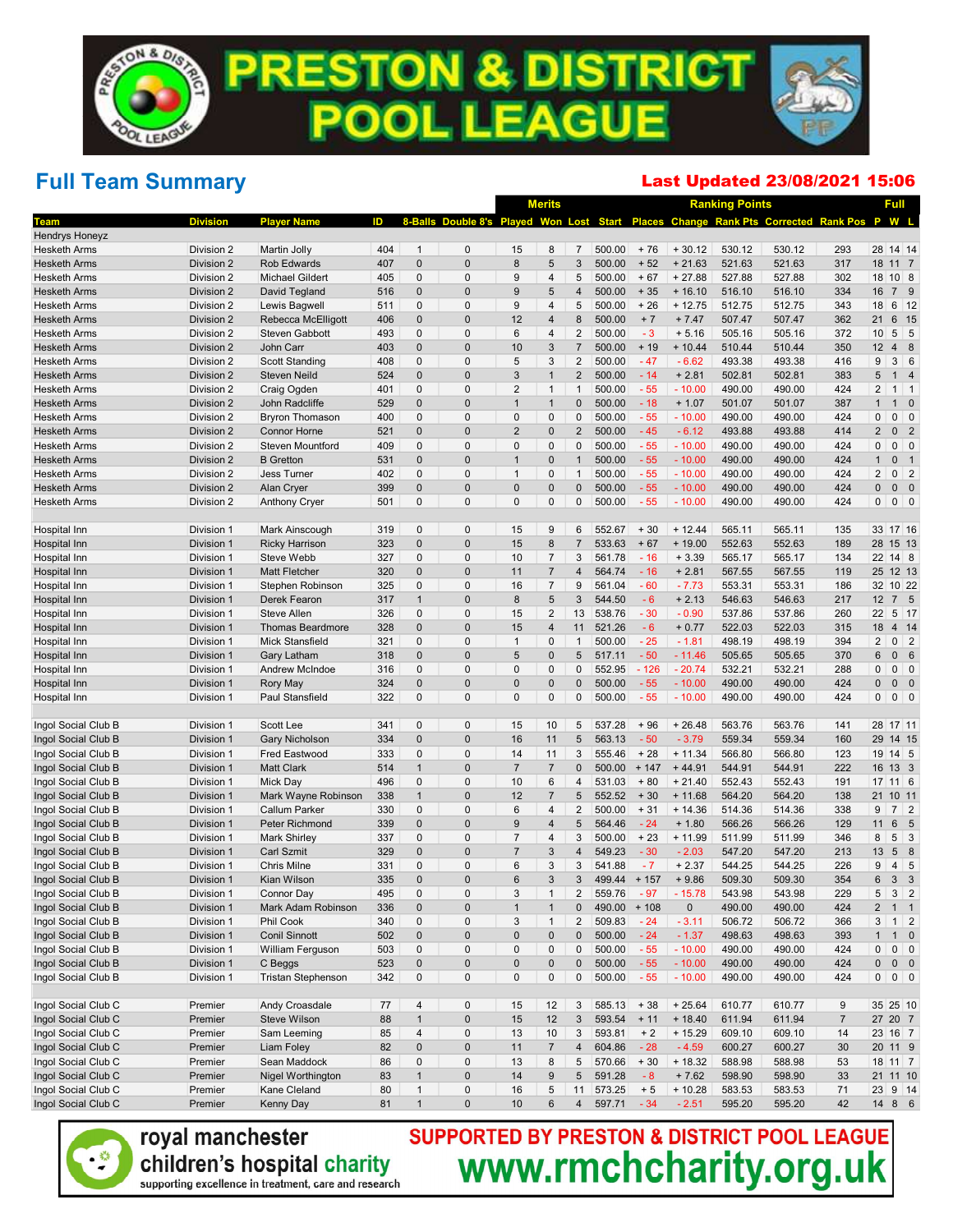## Full Team Summary

### Last Updated 23/08/2021 15:06

|                              |                          |                                           |            |              |                                          |                | <b>Merits</b>  |                         |                  |         |                    | <b>Ranking Points</b> |                                             |                | Full                |                  |
|------------------------------|--------------------------|-------------------------------------------|------------|--------------|------------------------------------------|----------------|----------------|-------------------------|------------------|---------|--------------------|-----------------------|---------------------------------------------|----------------|---------------------|------------------|
| Team                         | <b>Division</b>          | <b>Player Name</b>                        | ID         |              | 8-Balls Double 8's Played Won Lost Start |                |                |                         |                  |         |                    |                       | Places Change Rank Pts Corrected Rank Pos P |                |                     | W L              |
| <b>Hendrys Honeyz</b>        |                          |                                           |            |              |                                          |                |                |                         |                  |         |                    |                       |                                             |                |                     |                  |
| <b>Hesketh Arms</b>          | Division 2               | Martin Jolly                              | 404        | $\mathbf{1}$ | $\mathbf 0$                              | 15             | 8              | $\overline{7}$          | 500.00           | $+76$   | $+30.12$           | 530.12                | 530.12                                      | 293            | 28 14 14            |                  |
| <b>Hesketh Arms</b>          | Division 2               | <b>Rob Edwards</b>                        | 407        | $\mathbf 0$  | $\mathbf 0$                              | 8              | 5              | 3                       | 500.00           | $+52$   | $+21.63$           | 521.63                | 521.63                                      | 317            | 18 11 7             |                  |
| <b>Hesketh Arms</b>          | Division 2               | Michael Gildert                           | 405        | $\mathbf 0$  | $\mathbf 0$                              | 9              | $\overline{4}$ | 5                       | 500.00           | $+67$   | $+27.88$           | 527.88                | 527.88                                      | 302            | 18 10 8             |                  |
| <b>Hesketh Arms</b>          | Division 2               | David Tegland                             | 516        | $\mathbf 0$  | $\mathbf 0$                              | 9              | 5              | 4                       | 500.00           | $+35$   | $+16.10$           | 516.10                | 516.10                                      | 334            | 16                  | 7 9              |
| <b>Hesketh Arms</b>          | Division 2               | Lewis Bagwell                             | 511        | $\mathbf 0$  | $\mathbf 0$                              | 9              | $\overline{4}$ | 5                       | 500.00           | $+26$   | $+12.75$           | 512.75                | 512.75                                      | 343            | 18                  | $6 \mid 12$      |
| <b>Hesketh Arms</b>          | Division 2               | Rebecca McElligott                        | 406        | $\mathbf 0$  | $\mathbf 0$                              | 12             | $\overline{4}$ | 8                       | 500.00           | $+7$    | $+7.47$            | 507.47                | 507.47                                      | 362            | 21                  | 6 15             |
| <b>Hesketh Arms</b>          | Division 2               | <b>Steven Gabbott</b>                     | 493        | $\pmb{0}$    | $\mathbf 0$                              | 6              | $\overline{4}$ | $\overline{2}$          | 500.00           | $-3$    | $+ 5.16$           | 505.16                | 505.16                                      | 372            | 10                  | $5 \quad 5$      |
| <b>Hesketh Arms</b>          | Division 2               | John Carr                                 | 403        | $\mathbf 0$  | $\mathbf 0$                              | 10             | 3              | $\overline{7}$          | 500.00           | $+19$   | $+10.44$           | 510.44                | 510.44                                      | 350            | 12                  | 48               |
| <b>Hesketh Arms</b>          | Division 2               | <b>Scott Standing</b>                     | 408        | $\mathbf 0$  | $\mathbf 0$                              | 5              | 3              | $\overline{2}$          | 500.00           | $-47$   | $-6.62$            | 493.38                | 493.38                                      | 416            | 9                   | 3 6              |
| <b>Hesketh Arms</b>          | Division 2               | <b>Steven Neild</b>                       | 524        | $\mathbf 0$  | $\mathbf 0$                              | 3              | $\overline{1}$ | $\overline{2}$          | 500.00           | $-14$   | $+2.81$            | 502.81                | 502.81                                      | 383            | 5                   | $1 \quad 4$      |
| <b>Hesketh Arms</b>          | Division 2               | Craig Ogden                               | 401        | $\mathbf 0$  | $\mathbf 0$                              | $\overline{2}$ | $\mathbf{1}$   | $\mathbf{1}$            | 500.00           | $-55$   | $-10.00$           | 490.00                | 490.00                                      | 424            | $\overline{2}$      | $1 \vert 1$      |
| <b>Hesketh Arms</b>          | Division 2               | <b>John Radcliffe</b>                     | 529        | $\mathbf 0$  | $\mathbf 0$                              | $\overline{1}$ | $\overline{1}$ | $\pmb{0}$               | 500.00           | $-18$   | $+1.07$            | 501.07                | 501.07                                      | 387            | $\mathbf{1}$        | $1 \quad 0$      |
| <b>Hesketh Arms</b>          | Division 2               | Bryron Thomason                           | 400        | $\mathbf 0$  | $\mathbf 0$                              | $\pmb{0}$      | $\mathbf 0$    | 0                       | 500.00           | $-55$   | $-10.00$           | 490.00                | 490.00                                      | 424            | $\pmb{0}$           | $0 \mid 0$       |
| <b>Hesketh Arms</b>          | Division 2               | <b>Connor Horne</b>                       | 521        | $\mathbf 0$  | $\mathbf 0$                              | $\overline{2}$ | $\mathbf 0$    | $\overline{2}$          | 500.00           | $-45$   | $-6.12$            | 493.88                | 493.88                                      | 414            | $\overline{2}$      | 0 <sub>2</sub>   |
| <b>Hesketh Arms</b>          | Division 2               | <b>Steven Mountford</b>                   | 409        | $\mathbf 0$  | $\mathbf 0$                              | $\mathbf 0$    | $\pmb{0}$      | 0                       | 500.00           | $-55$   | $-10.00$           | 490.00                | 490.00                                      | 424            | $\pmb{0}$           | $0 \mid 0$       |
| <b>Hesketh Arms</b>          | Division 2               | <b>B</b> Gretton                          | 531        | $\pmb{0}$    | $\mathbf 0$                              | $\overline{1}$ | $\mathbf{0}$   | $\mathbf{1}$            | 500.00           | $-55$   | $-10.00$           | 490.00                | 490.00                                      | 424            | $\mathbf{1}$        | 0 <sub>1</sub>   |
| <b>Hesketh Arms</b>          | Division 2               | <b>Jess Turner</b>                        | 402        | $\mathbf 0$  | $\mathbf 0$                              | $\mathbf{1}$   | 0              | $\mathbf{1}$            | 500.00           | $-55$   | $-10.00$           | 490.00                | 490.00                                      | 424            | $\overline{2}$      | 0 <sup>2</sup>   |
| <b>Hesketh Arms</b>          | Division 2               | Alan Cryer                                | 399        | $\mathbf 0$  | $\mathbf 0$                              | $\mathbf 0$    | $\Omega$       | $\pmb{0}$               | 500.00           | $-55$   | $-10.00$           | 490.00                | 490.00                                      | 424            | $\pmb{0}$           | $0\quad 0$       |
| <b>Hesketh Arms</b>          | Division 2               | <b>Anthony Cryer</b>                      | 501        | $\mathbf 0$  | $\mathbf 0$                              | $\mathbf 0$    | $\mathbf{0}$   | 0                       | 500.00           | $-55$   | $-10.00$           | 490.00                | 490.00                                      | 424            | $\mathbf 0$         | $0 \mid 0$       |
|                              | Division 1               | Mark Ainscough                            | 319        | 0            | $\mathbf 0$                              | 15             | 9              | 6                       | 552.67           | $+30$   | $+ 12.44$          | 565.11                | 565.11                                      | 135            | 33 17 16            |                  |
| Hospital Inn<br>Hospital Inn | Division 1               |                                           |            | $\mathbf 0$  | $\mathbf 0$                              | 15             | 8              | $\overline{7}$          | 533.63           | $+67$   |                    | 552.63                | 552.63                                      | 189            | 28 15 13            |                  |
|                              |                          | <b>Ricky Harrison</b>                     | 323<br>327 | 0            | $\mathbf 0$                              | 10             | $\overline{7}$ | 3                       |                  | $-16$   | $+19.00$           |                       |                                             | 134            |                     |                  |
| Hospital Inn                 | Division 1               | <b>Steve Webb</b><br><b>Matt Fletcher</b> | 320        | $\pmb{0}$    | $\mathbf 0$                              | 11             | $\overline{7}$ | $\overline{\mathbf{4}}$ | 561.78           | $-16$   | $+3.39$            | 565.17                | 565.17                                      | 119            | 22 14 8<br>25 12 13 |                  |
| Hospital Inn                 | Division 1               |                                           | 325        | $\mathbf 0$  | $\mathbf 0$                              | 16             | $\overline{7}$ | 9                       | 564.74<br>561.04 | $-60$   | $+2.81$            | 567.55                | 567.55                                      | 186            | 32 10 22            |                  |
| Hospital Inn                 | Division 1               | Stephen Robinson<br>Derek Fearon          | 317        | $\mathbf{1}$ | $\mathbf 0$                              | 8              | 5              | 3                       | 544.50           | $-6$    | $-7.73$<br>$+2.13$ | 553.31                | 553.31                                      | 217            | 12 7 5              |                  |
| Hospital Inn<br>Hospital Inn | Division 1               | <b>Steve Allen</b>                        | 326        | $\pmb{0}$    | $\mathbf 0$                              | 15             | $\overline{2}$ | 13                      | 538.76           | $-30$   | $-0.90$            | 546.63<br>537.86      | 546.63<br>537.86                            | 260            | 22                  | $5 \vert 17$     |
| Hospital Inn                 | Division 1<br>Division 1 | <b>Thomas Beardmore</b>                   | 328        | $\mathbf 0$  | $\mathbf 0$                              | 15             | 4              | 11                      | 521.26           | $-6$    | $+0.77$            | 522.03                | 522.03                                      | 315            | 18                  | 4 14             |
| Hospital Inn                 |                          | Mick Stansfield                           | 321        | $\mathbf 0$  | $\mathbf 0$                              | $\mathbf{1}$   | $\mathbf 0$    | $\mathbf{1}$            | 500.00           | $-25$   | $-1.81$            | 498.19                | 498.19                                      | 394            | $\overline{2}$      | $0 \mid 2$       |
| Hospital Inn                 | Division 1<br>Division 1 | Gary Latham                               | 318        | $\mathbf 0$  | $\mathbf 0$                              | 5              | 0              | 5                       | 517.11           | $-50$   | $-11.46$           | 505.65                | 505.65                                      | 370            | 6                   | 0 <sub>6</sub>   |
| Hospital Inn                 | Division 1               | <b>Andrew McIndoe</b>                     | 316        | $\pmb{0}$    | $\mathbf 0$                              | $\pmb{0}$      | 0              | 0                       | 552.95           | $-126$  | $-20.74$           | 532.21                | 532.21                                      | 288            | $\pmb{0}$           | $0 \mid 0$       |
| Hospital Inn                 | Division 1               | Rory May                                  | 324        | $\pmb{0}$    | $\mathbf 0$                              | $\mathbf 0$    | $\Omega$       | $\pmb{0}$               | 500.00           | $-55$   | $-10.00$           | 490.00                | 490.00                                      | 424            | $\pmb{0}$           | $0\quad 0$       |
| Hospital Inn                 | Division 1               | Paul Stansfield                           | 322        | $\mathbf 0$  | $\mathbf 0$                              | $\mathbf 0$    | $\mathbf{0}$   | 0                       | 500.00           | $-55$   | $-10.00$           | 490.00                | 490.00                                      | 424            | $\mathbf 0$         | $0 \mid 0$       |
|                              |                          |                                           |            |              |                                          |                |                |                         |                  |         |                    |                       |                                             |                |                     |                  |
| Ingol Social Club B          | Division 1               | Scott Lee                                 | 341        | 0            | $\mathbf 0$                              | 15             | 10             | 5                       | 537.28           | $+96$   | $+26.48$           | 563.76                | 563.76                                      | 141            | 28 17 11            |                  |
| Ingol Social Club B          | Division 1               | <b>Gary Nicholson</b>                     | 334        | $\pmb{0}$    | $\mathbf 0$                              | 16             | 11             | 5                       | 563.13           | $-50$   | $-3.79$            | 559.34                | 559.34                                      | 160            | 29 14 15            |                  |
| Ingol Social Club B          | Division 1               | Fred Eastwood                             | 333        | $\mathbf 0$  | $\mathbf 0$                              | 14             | 11             | 3                       | 555.46           | $+28$   | $+ 11.34$          | 566.80                | 566.80                                      | 123            | 19 14 5             |                  |
| Ingol Social Club B          | Division 1               | <b>Matt Clark</b>                         | 514        | $\mathbf{1}$ | $\mathbf 0$                              | $\overline{7}$ | $\overline{7}$ | $\mathbf{0}$            | 500.00           | $+ 147$ | $+44.91$           | 544.91                | 544.91                                      | 222            | 16 13 3             |                  |
| Ingol Social Club B          | Division 1               | Mick Day                                  | 496        | $\pmb{0}$    | $\mathbf 0$                              | 10             | 6              | 4                       | 531.03           | $+80$   | $+21.40$           | 552.43                | 552.43                                      | 191            | 17 11 6             |                  |
| Ingol Social Club B          | Division 1               | Mark Wayne Robinson                       | 338        | $\mathbf{1}$ | $\mathbf 0$                              | 12             | $\overline{7}$ | 5                       | 552.52           | $+30$   | $+11.68$           | 564.20                | 564.20                                      | 138            | 21                  | 10 11            |
| Ingol Social Club B          | Division 1               | Callum Parker                             | 330        | $\pmb{0}$    | $\mathbf 0$                              | 6              | $\overline{4}$ | $\overline{2}$          | 500.00           | $+31$   | $+14.36$           | 514.36                | 514.36                                      | 338            | 9                   | $7 \quad 2$      |
| Ingol Social Club B          | Division 1               | Peter Richmond                            | 339        | $\pmb{0}$    | $\mathbf 0$                              | 9              | $\overline{4}$ | 5                       | 564.46           | $-24$   | $+1.80$            | 566.26                | 566.26                                      | 129            | 11                  | 6 5              |
| Ingol Social Club B          | Division 1               | Mark Shirley                              | 337        | $\pmb{0}$    | $\mathbf 0$                              | $\overline{7}$ | $\overline{4}$ | 3                       | 500.00           | $+23$   | $+11.99$           | 511.99                | 511.99                                      | 346            | 8                   | $5 \mid 3$       |
| Ingol Social Club B          | Division 1               | <b>Carl Szmit</b>                         | 329        | $\pmb{0}$    | $\mathbf 0$                              | $\overline{7}$ | 3              | $\overline{4}$          | 549.23           | $-30$   | $-2.03$            | 547.20                | 547.20                                      | 213            | 13                  | 58               |
| Ingol Social Club B          | Division 1               | Chris Milne                               | 331        | $\mathbf 0$  | $\mathbf 0$                              | 6              | 3              | 3                       | 541.88           | $-7$    | $+2.37$            | 544.25                | 544.25                                      | 226            | 9                   | $4 \overline{5}$ |
| Ingol Social Club B          | Division 1               | Kian Wilson                               | 335        | $\mathbf{0}$ | $\Omega$                                 | 6              | 3              | 3                       | 499.44           | $+157$  | $+9.86$            | 509.30                | 509.30                                      | 354            | 6                   | 3 <sup>3</sup>   |
| Ingol Social Club B          | Division 1               | Connor Day                                | 495        | $\mathbf 0$  | $\mathbf{0}$                             | 3              | $\mathbf{1}$   | $\overline{2}$          | 559.76           | 97      | $-15.78$           | 543.98                | 543.98                                      | 229            | 5 <sup>5</sup>      | $3 \mid 2$       |
| Ingol Social Club B          | Division 1               | Mark Adam Robinson                        | 336        | $\pmb{0}$    | $\mathbf 0$                              | $\mathbf{1}$   | $\mathbf{1}$   | 0                       | 490.00 + 108     |         | 0                  | 490.00                | 490.00                                      | 424            | $\overline{2}$      | $1 1$            |
| Ingol Social Club B          | Division 1               | Phil Cook                                 | 340        | 0            | $\pmb{0}$                                | 3              | $\mathbf{1}$   | $\overline{c}$          | 509.83           | $-24$   | $-3.11$            | 506.72                | 506.72                                      | 366            | 3                   | $1 \mid 2$       |
| Ingol Social Club B          | Division 1               | <b>Conil Sinnott</b>                      | 502        | 0            | $\pmb{0}$                                | 0              | 0              | 0                       | 500.00           | $-24$   | $-1.37$            | 498.63                | 498.63                                      | 393            | $\mathbf{1}$        | $1 \quad 0$      |
| Ingol Social Club B          | Division 1               | William Ferguson                          | 503        | $\pmb{0}$    | $\pmb{0}$                                | 0              | $\pmb{0}$      | 0                       | 500.00           | $-55$   | $-10.00$           | 490.00                | 490.00                                      | 424            | $\mathbf 0$         | $0 \mid 0$       |
| Ingol Social Club B          | Division 1               | C Beggs                                   | 523        | $\pmb{0}$    | $\pmb{0}$                                | 0              | $\pmb{0}$      | 0                       | 500.00           | $-55$   | $-10.00$           | 490.00                | 490.00                                      | 424            | $\pmb{0}$           | $0\quad 0$       |
| Ingol Social Club B          | Division 1               | Tristan Stephenson                        | 342        | $\pmb{0}$    | $\pmb{0}$                                | 0              | $\pmb{0}$      | 0                       | 500.00           | $-55$   | $-10.00$           | 490.00                | 490.00                                      | 424            | 0                   | $0 \mid 0$       |
|                              |                          |                                           |            |              |                                          |                |                |                         |                  |         |                    |                       |                                             |                |                     |                  |
| Ingol Social Club C          | Premier                  | Andy Croasdale                            | 77         | 4            | 0                                        | 15             | 12             | 3                       | 585.13           | $+38$   | $+25.64$           | 610.77                | 610.77                                      | 9              | 35 25 10            |                  |
| Ingol Social Club C          | Premier                  | Steve Wilson                              | 88         | $\mathbf{1}$ | $\pmb{0}$                                | 15             | 12             | 3                       | 593.54           | $+ 11$  | $+18.40$           | 611.94                | 611.94                                      | $\overline{7}$ | 27 20 7             |                  |
| Ingol Social Club C          | Premier                  | Sam Leeming                               | 85         | 4            | $\pmb{0}$                                | 13             | 10             | 3                       | 593.81           | $+2$    | $+15.29$           | 609.10                | 609.10                                      | 14             | 23 16 7             |                  |
| Ingol Social Club C          | Premier                  | Liam Foley                                | 82         | $\pmb{0}$    | $\pmb{0}$                                | 11             | $\overline{7}$ | $\overline{4}$          | 604.86           | $-28$   | $-4.59$            | 600.27                | 600.27                                      | 30             | 20 11 9             |                  |
| Ingol Social Club C          | Premier                  | Sean Maddock                              | 86         | $\pmb{0}$    | $\pmb{0}$                                | 13             | 8              | 5                       | 570.66           | $+30$   | $+18.32$           | 588.98                | 588.98                                      | 53             | 18 11 7             |                  |
| Ingol Social Club C          | Premier                  | Nigel Worthington                         | 83         | $\mathbf{1}$ | $\pmb{0}$                                | 14             | 9              | 5                       | 591.28           | $-8$    | $+7.62$            | 598.90                | 598.90                                      | 33             | 21 11 10            |                  |
| Ingol Social Club C          | Premier                  | Kane Cleland                              | 80         | $\mathbf{1}$ | $\pmb{0}$                                | 16             | $\,$ 5 $\,$    | 11                      | 573.25           | $+5$    | $+10.28$           | 583.53                | 583.53                                      | 71             | 23 9 14             |                  |
| Ingol Social Club C          | Premier                  | Kenny Day                                 | 81         | $\mathbf{1}$ | $\pmb{0}$                                | 10             | 6              | $\overline{4}$          | 597.71           | $-34$   | $-2.51$            | 595.20                | 595.20                                      | 42             | 14 8 6              |                  |



## SUPPORTED BY PRESTON & DISTRICT POOL LEAGUE<br>WWW.rmchcharity.org.uk

children's hospital charity supporting excellence in treatment, care and research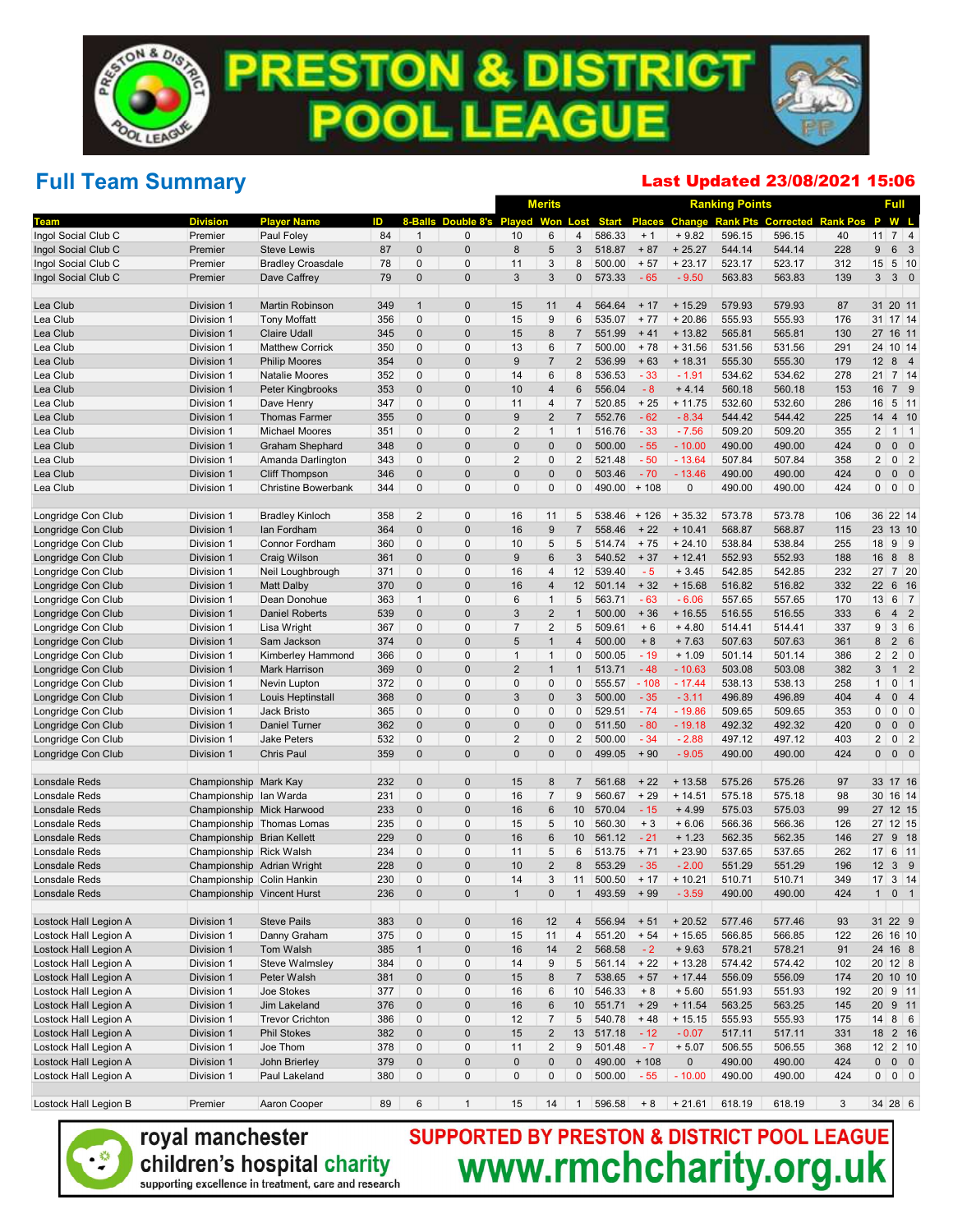## Full Team Summary

#### Last Updated 23/08/2021 15:06

|                                          |                            |                                     |            |                            |                            |                   | <b>Merits</b>              |                |                  |                |                     | <b>Ranking Points</b> |                                         |                 |                   | <b>Full</b>                                  |
|------------------------------------------|----------------------------|-------------------------------------|------------|----------------------------|----------------------------|-------------------|----------------------------|----------------|------------------|----------------|---------------------|-----------------------|-----------------------------------------|-----------------|-------------------|----------------------------------------------|
| Team                                     | <b>Division</b>            | Player Name                         | D          |                            |                            | Double 8's Played | Won                        | Lost           | <b>Start</b>     |                |                     |                       | <b>Places Change Rank Pts Corrected</b> | <b>Rank Pos</b> | P                 | W L                                          |
| Ingol Social Club C                      | Premier                    | Paul Foley                          | 84         | $\mathbf 1$                | $\mathbf{0}$               | 10                | 6                          | 4              | 586.33           | $+1$           | $+9.82$             | 596.15                | 596.15                                  | 40              | 11                | $7 \mid 4$                                   |
| Ingol Social Club C                      | Premier                    | <b>Steve Lewis</b>                  | 87         | $\mathbf 0$                | $\mathbf 0$                | 8                 | 5                          | 3              | 518.87           | $+87$          | $+25.27$            | 544.14                | 544.14                                  | 228             | 9                 | 6 3                                          |
| Ingol Social Club C                      | Premier                    | <b>Bradley Croasdale</b>            | 78         | $\mathbf 0$                | $\mathbf 0$                | 11                | 3                          | 8              | 500.00           | $+57$          | $+23.17$            | 523.17                | 523.17                                  | 312             | 15                | $5 \vert 10$                                 |
| Ingol Social Club C                      | Premier                    | Dave Caffrey                        | 79         | $\mathbf 0$                | $\mathbf 0$                | 3                 | 3                          | 0              | 573.33           | $-65$          | $-9.50$             | 563.83                | 563.83                                  | 139             | 3 <sup>1</sup>    | 30                                           |
| Lea Club                                 | Division 1                 | Martin Robinson                     | 349        | $\mathbf{1}$               | $\mathbf 0$                | 15                | 11                         | 4              | 564.64           | $+17$          | $+15.29$            | 579.93                | 579.93                                  | 87              |                   | 31 20 11                                     |
| Lea Club                                 | Division 1                 | <b>Tony Moffatt</b>                 | 356        | $\mathbf 0$                | $\mathbf 0$                | 15                | 9                          | 6              | 535.07           | $+77$          | $+20.86$            | 555.93                | 555.93                                  | 176             |                   | 31 17 14                                     |
| Lea Club                                 | Division 1                 | <b>Claire Udall</b>                 | 345        | $\mathbf 0$                | $\mathbf 0$                | 15                | 8                          | $\overline{7}$ | 551.99           | $+41$          | $+13.82$            | 565.81                | 565.81                                  | 130             | 27                | 16 11                                        |
| Lea Club                                 | Division 1                 | <b>Matthew Corrick</b>              | 350        | 0                          | $\mathbf 0$                | 13                | $6\phantom{1}6$            | $\overline{7}$ | 500.00           | $+78$          | $+31.56$            | 531.56                | 531.56                                  | 291             | 24                | 10 14                                        |
| Lea Club                                 | Division 1                 | <b>Philip Moores</b>                | 354        | $\mathbf{0}$               | $\mathbf 0$                | 9                 | $\overline{7}$             | $\overline{2}$ | 536.99           | $+63$          | $+18.31$            | 555.30                | 555.30                                  | 179             | 12                | 8 4                                          |
| Lea Club                                 | Division 1                 | <b>Natalie Moores</b>               | 352        | 0                          | $\mathbf 0$                | 14                | $6\phantom{1}6$            | 8              | 536.53           | $-33$          | $-1.91$             | 534.62                | 534.62                                  | 278             | 21                | $7 \vert 14$                                 |
| Lea Club                                 | Division 1                 | Peter Kingbrooks                    | 353        | $\mathbf 0$                | $\mathbf 0$                | 10                | $\overline{4}$             | 6              | 556.04           | $-8$           | $+4.14$             | 560.18                | 560.18                                  | 153             | 16                | 7 9                                          |
| Lea Club                                 | Division 1                 | Dave Henry                          | 347        | 0                          | $\mathbf 0$                | 11                | $\overline{4}$             | $\overline{7}$ | 520.85           | $+25$          | $+11.75$            | 532.60                | 532.60                                  | 286             | 16                | $5 \vert 11$                                 |
| Lea Club                                 | Division 1                 | <b>Thomas Farmer</b>                | 355        | $\mathbf 0$                | $\mathbf 0$                | 9                 | $\overline{2}$             | $\overline{7}$ | 552.76           | $-62$          | $-8.34$             | 544.42                | 544.42                                  | 225             | 14                | 4 10                                         |
| Lea Club                                 | Division 1                 | Michael Moores                      | 351        | $\mathbf 0$                | $\mathbf 0$                | $\overline{2}$    | $\mathbf{1}$               | $\mathbf{1}$   | 516.76           | $-33$          | $-7.56$             | 509.20                | 509.20                                  | 355             | $\overline{2}$    | $1 \mid 1$                                   |
| Lea Club                                 | Division 1                 | Graham Shephard                     | 348        | $\mathbf 0$                | $\mathbf 0$                | $\mathbf{0}$      | $\mathbf{0}$               | 0              | 500.00           | $-55$          | $-10.00$            | 490.00                | 490.00                                  | 424             | 0                 | $0\quad 0$                                   |
| Lea Club                                 | Division 1                 | Amanda Darlington                   | 343        | $\mathbf 0$                | $\mathbf 0$                | $\overline{2}$    | $\mathbf 0$                | $\overline{2}$ | 521.48           | $-50$          | $-13.64$            | 507.84                | 507.84                                  | 358             | $\overline{2}$    | $0 \mid 2$                                   |
| Lea Club                                 | Division 1                 | <b>Cliff Thompson</b>               | 346        | $\mathbf 0$                | $\mathbf 0$                | $\mathbf 0$       | $\mathbf 0$                | 0              | 503.46           | $-70$          | $-13.46$            | 490.00                | 490.00                                  | 424             | 0                 | $0\quad 0$                                   |
| Lea Club                                 | Division 1                 | <b>Christine Bowerbank</b>          | 344        | $\mathbf 0$                | $\mathbf{0}$               | $\mathbf{0}$      | $\mathbf 0$                | 0              | 490.00           | $+108$         | 0                   | 490.00                | 490.00                                  | 424             | $\mathbf 0$       | $0 \mid 0$                                   |
| Longridge Con Club                       | Division 1                 | <b>Bradley Kinloch</b>              | 358        | $\overline{c}$             | $\mathbf 0$                | 16                | 11                         | 5              | 538.46           | $+126$         | $+35.32$            | 573.78                | 573.78                                  | 106             |                   | 36 22 14                                     |
| Longridge Con Club                       | Division 1                 | Ian Fordham                         | 364        | $\mathbf 0$                | $\mathbf 0$                | 16                | $\boldsymbol{9}$           | $\overline{7}$ | 558.46           | $+22$          | $+10.41$            | 568.87                | 568.87                                  | 115             |                   | 23 13 10                                     |
| Longridge Con Club                       | Division 1                 | Connor Fordham                      | 360        | $\mathbf 0$                | $\mathbf 0$                | 10                | 5                          | 5              | 514.74           | $+75$          | $+24.10$            | 538.84                | 538.84                                  | 255             | 18                | $9 \mid 9$                                   |
| Longridge Con Club                       | Division 1                 | <b>Craig Wilson</b>                 | 361        | $\mathbf 0$                | $\mathbf 0$                | 9                 | $6\phantom{1}6$            | 3              | 540.52           | $+37$          | $+12.41$            | 552.93                | 552.93                                  | 188             | 16                | 8 8                                          |
| Longridge Con Club                       | Division 1                 | Neil Loughbrough                    | 371        | 0                          | $\mathbf 0$                | 16                | $\overline{4}$             | 12             | 539.40           | $-5$           | $+3.45$             | 542.85                | 542.85                                  | 232             | 27                | $7 \overline{\smash{\big)}\ 20}$             |
| Longridge Con Club                       | Division 1                 | <b>Matt Dalby</b>                   | 370        | $\mathbf 0$                | $\mathbf 0$                | 16                | $\overline{4}$             | 12             | 501.14           | $+32$          | $+15.68$            | 516.82                | 516.82                                  | 332             | 22                | 6 16                                         |
| Longridge Con Club                       | Division 1                 | Dean Donohue                        | 363        | $\mathbf{1}$               | $\mathbf 0$                | 6                 | $\mathbf{1}$               | 5              | 563.71           | $-63$          | $-6.06$             | 557.65                | 557.65                                  | 170             | 13                | $6 \mid 7$                                   |
| Longridge Con Club                       | Division 1                 | <b>Daniel Roberts</b>               | 539        | $\mathbf{0}$               | $\mathbf 0$                | 3                 | $\overline{2}$             | $\mathbf{1}$   | 500.00           | $+36$          | $+16.55$            | 516.55                | 516.55                                  | 333             | 6                 | 4 <sup>2</sup>                               |
| Longridge Con Club                       | Division 1                 | Lisa Wright                         | 367        | 0                          | $\mathbf 0$                | $\overline{7}$    | $\overline{2}$             | 5              | 509.61           | $+6$           | $+4.80$             | 514.41                | 514.41                                  | 337             | 9                 | $3 \mid 6$                                   |
| Longridge Con Club                       | Division 1                 | Sam Jackson                         | 374        | $\mathbf 0$                | $\mathbf 0$                | 5                 | $\overline{1}$             | 4              | 500.00           | $+8$           | $+7.63$             | 507.63                | 507.63                                  | 361             | 8                 | $2\quad 6$                                   |
| Longridge Con Club                       | Division 1                 | Kimberley Hammond                   | 366        | 0                          | $\mathbf 0$                | $\mathbf{1}$      | $\mathbf{1}$               | 0              | 500.05           | $-19$          | $+1.09$             | 501.14                | 501.14                                  | 386             | 2                 | $2 \mid 0$                                   |
| Longridge Con Club                       | Division 1                 | Mark Harrison                       | 369        | $\mathbf 0$                | $\mathbf 0$                | $\overline{2}$    | $\overline{1}$             | $\mathbf{1}$   | 513.71           | $-48$          | $-10.63$            | 503.08                | 503.08                                  | 382             | 3                 | 1 <sub>2</sub>                               |
| Longridge Con Club                       | Division 1                 | Nevin Lupton                        | 372        | 0                          | $\mathbf 0$                | $\mathbf 0$       | $\mathbf 0$                | 0              | 555.57           | $-108$         | $-17.44$            | 538.13                | 538.13                                  | 258             | $\mathbf{1}$      | $0 \mid 1$                                   |
| Longridge Con Club                       | Division 1                 | Louis Heptinstall                   | 368        | $\mathbf 0$<br>$\mathbf 0$ | $\mathbf 0$<br>$\mathbf 0$ | 3<br>$\mathbf 0$  | $\mathbf 0$<br>$\mathbf 0$ | 3<br>0         | 500.00<br>529.51 | $-35$<br>$-74$ | $-3.11$<br>$-19.86$ | 496.89<br>509.65      | 496.89<br>509.65                        | 404             | 4<br>$\mathbf{0}$ | 0 <sub>4</sub><br>$0 \mid 0$                 |
| Longridge Con Club                       | Division 1                 | Jack Bristo<br><b>Daniel Turner</b> | 365<br>362 | $\mathbf 0$                | $\mathbf 0$                | $\mathbf 0$       | $\mathbf 0$                | 0              | 511.50           | $-80$          | $-19.18$            | 492.32                | 492.32                                  | 353<br>420      | 0                 | $0\quad 0$                                   |
| Longridge Con Club<br>Longridge Con Club | Division 1<br>Division 1   | Jake Peters                         | 532        | $\mathbf 0$                | $\mathbf 0$                | $\overline{2}$    | $\mathbf 0$                | 2              | 500.00           | $-34$          | $-2.88$             | 497.12                | 497.12                                  | 403             | $\overline{2}$    | $0 \mid 2$                                   |
| Longridge Con Club                       | Division 1                 | Chris Paul                          | 359        | $\mathbf{0}$               | $\mathbf 0$                | $\mathbf{0}$      | $\mathbf{0}$               | 0              | 499.05           | $+90$          | $-9.05$             | 490.00                | 490.00                                  | 424             | 0                 | $0\quad 0$                                   |
|                                          |                            |                                     |            |                            |                            |                   |                            |                |                  |                |                     |                       |                                         |                 |                   |                                              |
| <b>Lonsdale Reds</b>                     | Championship Mark Kay      |                                     | 232        | $\mathbf{0}$               | $\mathbf 0$                | 15                | 8                          | 7              | 561.68           | $+22$          | $+13.58$            | 575.26                | 575.26                                  | 97              |                   | 33 17 16                                     |
| Lonsdale Reds                            | Championship Ian Warda     |                                     | 231        | 0                          | $\mathbf 0$                | 16                | $\overline{7}$             | 9              | 560.67           | $+29$          | $+14.51$            | 575.18                | 575.18                                  | 98              | 30                | 16 14                                        |
| <b>Lonsdale Reds</b>                     |                            | Championship Mick Harwood           | 233        | $\mathbf 0$                | $\mathbf 0$                | 16                | $6\phantom{1}6$            | 10             | 570.04           | $-15$          | $+4.99$             | 575.03                | 575.03                                  | 99              | 27                | 12 15                                        |
| Lonsdale Reds                            |                            | Championship Thomas Lomas           | 235        | 0                          | $\mathbf 0$                | 15                | 5                          | 10             | 560.30           | $+3$           | $+6.06$             | 566.36                | 566.36                                  | 126             |                   | 27 12 15                                     |
| <b>Lonsdale Reds</b>                     | Championship Brian Kellett |                                     | 229        | $\mathbf 0$                | $\mathbf 0$                | 16                | $6\phantom{1}6$            | 10             | 561.12           | $-21$          | $+1.23$             | 562.35                | 562.35                                  | 146             | 27                | 9 18                                         |
| Lonsdale Reds                            | Championship Rick Walsh    |                                     | 234        | 0                          | $\mathbf 0$                | 11                | 5                          | 6              | 513.75           | $+71$          | $+23.90$            | 537.65                | 537.65                                  | 262             | 17                | 6 11                                         |
| Lonsdale Reds                            | Championship Adrian Wright |                                     | 228        | $\mathbf 0$                | $\mathbf 0$                | 10                | $\overline{2}$             | 8              | 553.29           | $-35$          | $-2.00$             | 551.29                | 551.29                                  | 196             | 12                | 3 <sub>9</sub>                               |
| Lonsdale Reds                            | Championship Colin Hankin  |                                     | 230        | $\mathbf 0$                | $\mathbf{0}$               | 14                | 3                          | 11             | 500.50           | $+17$          | $+10.21$            | 510.71                | 510.71                                  | 349             | 17                | $3 \mid 14$                                  |
| Lonsdale Reds                            | Championship Vincent Hurst |                                     | 236        | $\boldsymbol{0}$           | $\mathbf{0}$               |                   | $\bf{0}$                   |                | 493.59           | $+99$          | - 3.59              | 490.00                | 490.00                                  | 424             | $\mathbf{1}$      | 0 <sub>1</sub>                               |
| Lostock Hall Legion A                    | Division 1                 | <b>Steve Pails</b>                  | 383        | $\pmb{0}$                  | $\pmb{0}$                  | 16                | $12$                       | $\overline{4}$ | 556.94           | $+51$          | $+20.52$            | 577.46                | 577.46                                  | 93              |                   | 31 22 9                                      |
| Lostock Hall Legion A                    | Division 1                 | Danny Graham                        | 375        | 0                          | $\pmb{0}$                  | 15                | 11                         | $\overline{4}$ | 551.20           | $+54$          | $+15.65$            | 566.85                | 566.85                                  | 122             |                   | 26 16 10                                     |
| Lostock Hall Legion A                    | Division 1                 | Tom Walsh                           | 385        | $\mathbf{1}$               | $\pmb{0}$                  | 16                | 14                         | $\overline{2}$ | 568.58           | $-2$           | $+9.63$             | 578.21                | 578.21                                  | 91              |                   | 24 16 8                                      |
| Lostock Hall Legion A                    | Division 1                 | Steve Walmsley                      | 384        | 0                          | $\pmb{0}$                  | 14                | 9                          | 5              | 561.14           | $+22$          | $+13.28$            | 574.42                | 574.42                                  | 102             |                   | 20 12 8                                      |
| Lostock Hall Legion A                    | Division 1                 | Peter Walsh                         | 381        | $\pmb{0}$                  | $\pmb{0}$                  | 15                | $\bf 8$                    | $\overline{7}$ | 538.65           | $+57$          | $+ 17.44$           | 556.09                | 556.09                                  | 174             |                   | 20 10 10                                     |
| Lostock Hall Legion A                    | Division 1                 | Joe Stokes                          | 377        | 0                          | $\pmb{0}$                  | 16                | 6                          | 10             | 546.33           | $+8$           | $+5.60$             | 551.93                | 551.93                                  | 192             |                   | $20$ 9 11                                    |
| Lostock Hall Legion A                    | Division 1                 | Jim Lakeland                        | 376        | $\pmb{0}$                  | $\pmb{0}$                  | 16                | $\,6$                      | 10             | 551.71           | $+29$          | $+11.54$            | 563.25                | 563.25                                  | 145             |                   | 20 9 11                                      |
| Lostock Hall Legion A                    | Division 1                 | <b>Trevor Crichton</b>              | 386        | 0                          | $\pmb{0}$                  | 12                | $\overline{7}$             | 5              | 540.78           | $+48$          | $+15.15$            | 555.93                | 555.93                                  | 175             |                   | $14 \vert 8 \vert 6$                         |
| Lostock Hall Legion A                    | Division 1                 | <b>Phil Stokes</b>                  | 382        | $\pmb{0}$                  | $\pmb{0}$                  | 15                | $\sqrt{2}$                 | 13             | 517.18           | $-12$          | $-0.07$             | 517.11                | 517.11                                  | 331             |                   | 18 2 16                                      |
| Lostock Hall Legion A                    | Division 1                 | Joe Thom                            | 378        | 0                          | $\pmb{0}$                  | 11                | $\overline{c}$             | 9              | 501.48           | $-7$           | $+5.07$             | 506.55                | 506.55                                  | 368             |                   | $12 \begin{array}{ c c } 2 & 10 \end{array}$ |
| Lostock Hall Legion A                    | Division 1                 | John Brierley                       | 379        | $\pmb{0}$                  | $\pmb{0}$                  | $\pmb{0}$         | $\pmb{0}$                  | 0              | 490.00           | $+108$         | 0                   | 490.00                | 490.00                                  | 424             | $\mathbf{0}$      | $0\quad 0$                                   |
| Lostock Hall Legion A                    | Division 1                 | Paul Lakeland                       | 380        | 0                          | $\pmb{0}$                  | $\mathsf 0$       | $\pmb{0}$                  | $\mathbf 0$    | 500.00           | $-55$          | $-10.00$            | 490.00                | 490.00                                  | 424             | $\mathbf{0}$      | $0 \mid 0$                                   |
| Lostock Hall Legion B                    | Premier                    | Aaron Cooper                        | 89         | 6                          | $\mathbf{1}$               | 15                | 14                         | $\overline{1}$ | 596.58           | $+8$           | $+21.61$            | 618.19                | 618.19                                  | $\mathbf{3}$    |                   | $34 \ 28 \ 6$                                |

royal manchester children's hospital charity supporting excellence in treatment, care and research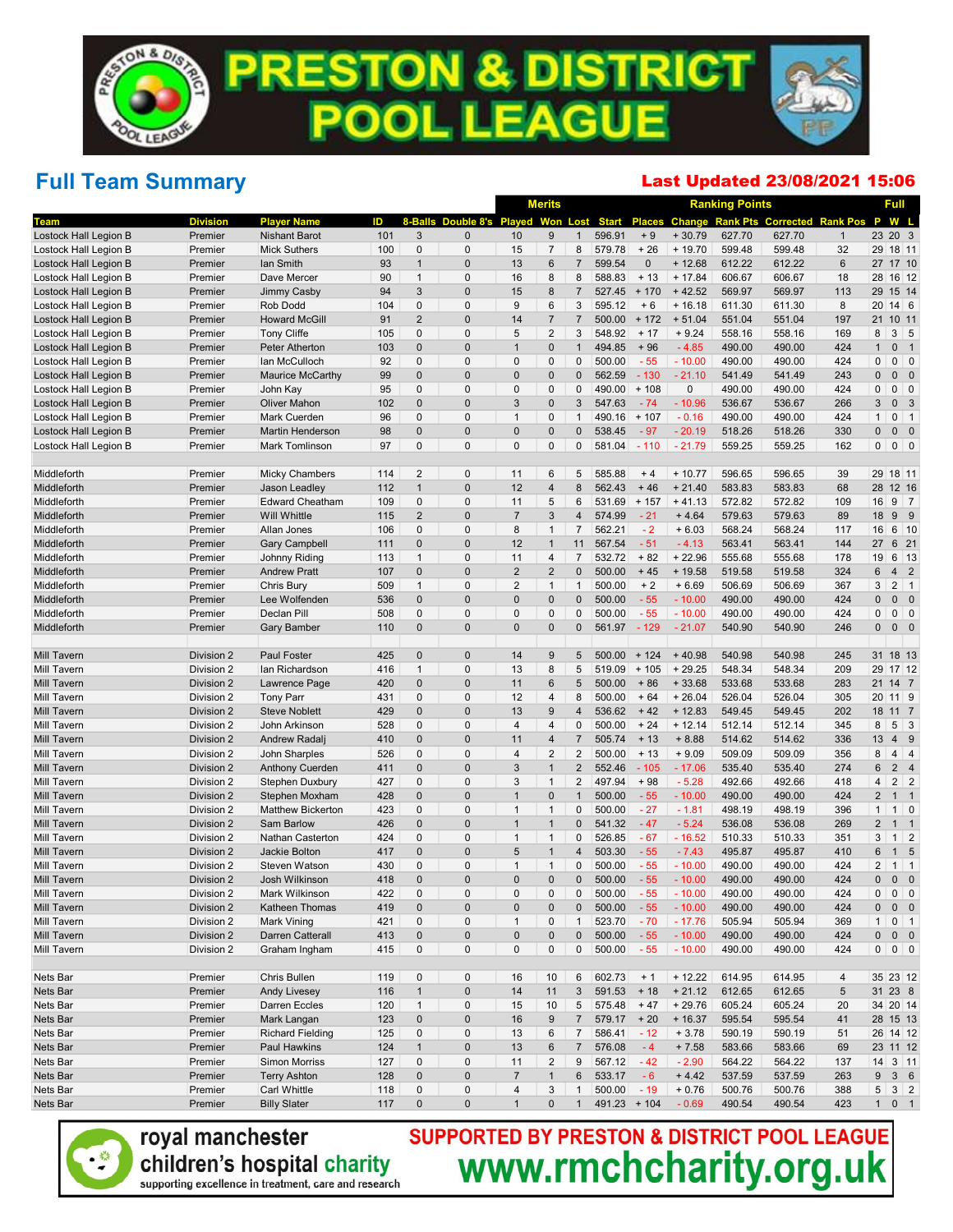### Full Team Summary

#### Last Updated 23/08/2021 15:06

|                                                |                          |                                                 |            |                  |                            | <b>Merits</b>               |                              |                |                  |                  | <b>Ranking Points</b> |                  |                                                  | Full           |                               |                            |
|------------------------------------------------|--------------------------|-------------------------------------------------|------------|------------------|----------------------------|-----------------------------|------------------------------|----------------|------------------|------------------|-----------------------|------------------|--------------------------------------------------|----------------|-------------------------------|----------------------------|
| Team                                           | <b>Division</b>          | <b>Plaver Name</b>                              | ID         | 8-Balls          | Double 8's Played          |                             | <b>Won</b>                   | Lost           | <b>Start</b>     |                  |                       |                  | <b>Places Change Rank Pts Corrected Rank Pos</b> |                | P<br>W L                      |                            |
| Lostock Hall Legion B                          | Premier                  | <b>Nishant Barot</b>                            | 101        | 3                | $\mathbf{0}$               | 10                          | 9                            | $\mathbf{1}$   | 596.91           | $+9$             | $+30.79$              | 627.70           | 627.70                                           | $\mathbf{1}$   | 23 20 3                       |                            |
| Lostock Hall Legion B                          | Premier                  | <b>Mick Suthers</b>                             | 100        | 0                | $\mathbf 0$                | 15                          | $\overline{7}$               | 8              | 579.78           | $+26$            | $+19.70$              | 599.48           | 599.48                                           | 32             | 29 18 11                      |                            |
| Lostock Hall Legion B                          | Premier                  | lan Smith                                       | 93         | $\mathbf{1}$     | $\mathbf 0$                | 13                          | $6\phantom{1}6$              | $\overline{7}$ | 599.54           | $\pmb{0}$        | $+12.68$              | 612.22           | 612.22                                           | $6\phantom{1}$ | 27 17 10                      |                            |
| Lostock Hall Legion B                          | Premier                  | Dave Mercer                                     | 90         | $\mathbf{1}$     | $\mathbf 0$                | 16                          | 8                            | 8              | 588.83           | $+13$            | $+17.84$              | 606.67           | 606.67                                           | 18             | 28 16 12                      |                            |
| Lostock Hall Legion B                          | Premier                  | Jimmy Casby                                     | 94         | 3                | $\mathbf 0$                | 15                          | 8                            | $\overline{7}$ | 527.45           | $+170$           | $+42.52$              | 569.97           | 569.97                                           | 113            | 29 15 14                      |                            |
| Lostock Hall Legion B                          | Premier                  | Rob Dodd                                        | 104        | 0                | $\mathbf{0}$               | 9                           | $6\phantom{1}6$              | 3              | 595.12           | $+6$             | $+16.18$              | 611.30           | 611.30                                           | 8              | 20<br>14 6                    |                            |
| Lostock Hall Legion B                          | Premier                  | <b>Howard McGill</b>                            | 91         | $\overline{2}$   | $\mathbf 0$                | 14                          | $\overline{7}$               | $\overline{7}$ | 500.00           | $+172$           | $+51.04$              | 551.04           | 551.04                                           | 197            | 21<br>10 11                   |                            |
| Lostock Hall Legion B                          | Premier                  | <b>Tony Cliffe</b>                              | 105        | 0                | $\mathbf 0$                | 5                           | $\overline{2}$               | 3              | 548.92           | $+17$            | $+9.24$               | 558.16           | 558.16                                           | 169            | $3 \quad 5$<br>8              |                            |
| Lostock Hall Legion B                          | Premier                  | Peter Atherton                                  | 103        | $\mathbf 0$      | $\mathbf 0$                | $\overline{1}$              | $\mathbf{0}$                 | $\mathbf{1}$   | 494.85           | $+96$            | $-4.85$               | 490.00           | 490.00                                           | 424            | $\mathbf{1}$<br>$\mathbf 0$   | $\overline{\phantom{0}}$ 1 |
| Lostock Hall Legion B                          | Premier                  | lan McCulloch                                   | 92         | 0                | $\mathbf 0$                | $\mathbf{0}$<br>$\mathbf 0$ | $\mathbf 0$                  | 0              | 500.00           | $-55$            | $-10.00$              | 490.00           | 490.00                                           | 424            | 0<br>$\mathbf{0}$             | $0 \mid 0$                 |
| Lostock Hall Legion B<br>Lostock Hall Legion B | Premier<br>Premier       | Maurice McCarthy                                | 99<br>95   | $\mathbf 0$<br>0 | $\mathbf 0$<br>$\mathbf 0$ | $\mathbf 0$                 | $\mathbf 0$<br>$\mathbf 0$   | 0<br>0         | 562.59<br>490.00 | $-130$<br>$+108$ | $-21.10$<br>0         | 541.49<br>490.00 | 541.49<br>490.00                                 | 243<br>424     | $\mathbf{0}$<br>$0$ 0         | $0\quad 0$                 |
| Lostock Hall Legion B                          | Premier                  | John Kay<br><b>Oliver Mahon</b>                 | 102        | $\mathbf 0$      | $\mathbf{0}$               | 3                           | $\mathbf 0$                  | 3              | 547.63           | $-74$            | $-10.96$              | 536.67           | 536.67                                           | 266            | 3                             | 0 <sup>3</sup>             |
| Lostock Hall Legion B                          | Premier                  | Mark Cuerden                                    | 96         | 0                | $\mathbf 0$                | $\overline{1}$              | $\mathbf 0$                  | $\mathbf{1}$   | 490.16           | $+107$           | $-0.16$               | 490.00           | 490.00                                           | 424            | $0 \mid 1$<br>$\mathbf{1}$    |                            |
| Lostock Hall Legion B                          | Premier                  | <b>Martin Henderson</b>                         | 98         | $\mathbf 0$      | $\mathbf 0$                | $\bf 0$                     | $\mathbf 0$                  | 0              | 538.45           | $-97$            | $-20.19$              | 518.26           | 518.26                                           | 330            | 0<br>0                        | $\overline{\phantom{0}}$   |
| Lostock Hall Legion B                          | Premier                  | <b>Mark Tomlinson</b>                           | 97         | $\mathbf{0}$     | $\mathbf{0}$               | $\mathbf{0}$                | $\mathbf 0$                  | 0              | 581.04           | $-110$           | $-21.79$              | 559.25           | 559.25                                           | 162            | 0<br>$0 \mid 0$               |                            |
| Middleforth                                    | Premier                  | <b>Micky Chambers</b>                           | 114        | $\overline{2}$   | $\mathbf 0$                | 11                          | $6\phantom{1}6$              | 5              | 585.88           | $+4$             | $+10.77$              | 596.65           | 596.65                                           | 39             | 29 18 11                      |                            |
| Middleforth                                    | Premier                  | Jason Leadley                                   | 112        | $\mathbf{1}$     | $\mathbf 0$                | 12                          | $\overline{4}$               | 8              | 562.43           | $+46$            | $+21.40$              | 583.83           | 583.83                                           | 68             | 28 12 16                      |                            |
| Middleforth                                    | Premier                  | <b>Edward Cheatham</b>                          | 109        | 0                | $\mathbf 0$                | 11                          | 5                            | 6              | 531.69           | $+157$           | $+41.13$              | 572.82           | 572.82                                           | 109            | 16<br>9 <sub>7</sub>          |                            |
| Middleforth                                    | Premier                  | <b>Will Whittle</b>                             | 115        | $\overline{2}$   | $\mathbf 0$                | $\overline{7}$              | $\mathbf{3}$                 | 4              | 574.99           | $-21$            | $+4.64$               | 579.63           | 579.63                                           | 89             | 18<br>99                      |                            |
| Middleforth                                    | Premier                  | Allan Jones                                     | 106        | 0                | $\mathbf 0$                | 8                           | $\mathbf{1}$                 | $\overline{7}$ | 562.21           | $-2$             | $+6.03$               | 568.24           | 568.24                                           | 117            | 16                            | $6 \mid 10$                |
| Middleforth                                    | Premier                  | <b>Gary Campbell</b>                            | 111        | $\mathbf 0$      | $\mathbf 0$                | 12                          | $\overline{1}$               | 11             | 567.54           | $-51$            | $-4.13$               | 563.41           | 563.41                                           | 144            | 27                            | 6 21                       |
| Middleforth                                    | Premier                  | Johnny Riding                                   | 113        | $\mathbf{1}$     | $\mathbf 0$                | 11                          | $\overline{4}$               | $\overline{7}$ | 532.72           | $+82$            | $+22.96$              | 555.68           | 555.68                                           | 178            | 19                            | 6 13                       |
| Middleforth                                    | Premier                  | <b>Andrew Pratt</b>                             | 107        | $\mathbf 0$      | $\mathbf 0$                | $\overline{2}$              | $\overline{2}$               | 0              | 500.00           | $+45$            | $+19.58$              | 519.58           | 519.58                                           | 324            | 6<br>4 <sub>2</sub>           |                            |
| Middleforth                                    | Premier                  | Chris Bury                                      | 509        | $\mathbf{1}$     | $\mathbf 0$                | $\overline{2}$              | $\mathbf{1}$                 | $\mathbf{1}$   | 500.00           | $+2$             | $+6.69$               | 506.69           | 506.69                                           | 367            | $2 \mid 1$<br>3               |                            |
| Middleforth                                    | Premier                  | Lee Wolfenden                                   | 536        | $\mathbf 0$      | $\mathbf 0$                | $\mathbf 0$                 | $\mathbf{0}$                 | 0              | 500.00           | $-55$            | $-10.00$              | 490.00           | 490.00                                           | 424            | $\mathbf{0}$                  | $0\quad 0$                 |
| Middleforth                                    | Premier                  | Declan Pill                                     | 508        | 0                | $\mathbf 0$                | $\mathbf{0}$                | $\mathbf 0$                  | $\pmb{0}$      | 500.00           | $-55$            | $-10.00$              | 490.00           | 490.00                                           | 424            | 0                             | $0 \mid 0$                 |
| Middleforth                                    | Premier                  | <b>Gary Bamber</b>                              | 110        | $\mathbf 0$      | $\mathbf{0}$               | $\mathbf{0}$                | $\mathbf{0}$                 | 0              | 561.97           | $-129$           | $-21.07$              | 540.90           | 540.90                                           | 246            | $\mathbf 0$<br>$0\quad 0$     |                            |
| <b>Mill Tavern</b>                             | Division 2               | Paul Foster                                     | 425        | $\pmb{0}$        | $\mathbf 0$                | 14                          | $\boldsymbol{9}$             | 5              | 500.00           | $+ 124$          | $+40.98$              | 540.98           | 540.98                                           | 245            | 31 18 13                      |                            |
| <b>Mill Tavern</b>                             | Division 2               | Ian Richardson                                  | 416        | $\mathbf{1}$     | $\mathbf 0$                | 13                          | 8                            | 5              | 519.09           | $+105$           | $+29.25$              | 548.34           | 548.34                                           | 209            | 29 17 12                      |                            |
| <b>Mill Tavern</b>                             | Division 2               | Lawrence Page                                   | 420        | $\mathbf 0$      | $\mathbf 0$                | 11                          | $6\phantom{1}6$              | 5              | 500.00           | $+86$            | $+33.68$              | 533.68           | 533.68                                           | 283            | 21 14 7                       |                            |
| Mill Tavern                                    | Division 2               | <b>Tony Parr</b>                                | 431        | 0                | $\mathbf 0$                | 12                          | $\overline{4}$               | 8              | 500.00           | $+64$            | $+26.04$              | 526.04           | 526.04                                           | 305            | 20 11 9                       |                            |
| <b>Mill Tavern</b>                             | Division 2               | <b>Steve Noblett</b>                            | 429        | $\mathbf 0$      | $\mathbf 0$                | 13                          | 9                            | 4              | 536.62           | $+42$            | $+12.83$              | 549.45           | 549.45                                           | 202            | 18 11 7                       |                            |
| Mill Tavern                                    | Division 2               | John Arkinson                                   | 528        | 0                | $\mathbf 0$                | $\overline{4}$              | $\overline{4}$               | 0              | 500.00           | $+24$            | $+12.14$              | 512.14           | 512.14                                           | 345            | $5 \mid 3$<br>8               |                            |
| <b>Mill Tavern</b>                             | Division 2               | Andrew Radalj                                   | 410        | $\mathbf{0}$     | $\mathbf 0$                | 11                          | $\overline{4}$               | $\overline{7}$ | 505.74           | $+13$            | $+8.88$               | 514.62           | 514.62                                           | 336            | 13<br>4 9                     |                            |
| Mill Tavern                                    | Division 2               | John Sharples                                   | 526        | 0                | $\mathbf 0$                | $\overline{4}$              | $\overline{2}$               | $\overline{2}$ | 500.00           | $+13$            | $+9.09$               | 509.09           | 509.09                                           | 356            | 8<br>$4 \mid 4$               |                            |
| <b>Mill Tavern</b>                             | Division 2               | <b>Anthony Cuerden</b>                          | 411        | $\mathbf 0$      | $\mathbf 0$                | 3                           | $\overline{1}$               | $\overline{2}$ | 552.46           | $-105$           | $-17.06$              | 535.40           | 535.40                                           | 274            | 2 <sub>4</sub><br>6           |                            |
| Mill Tavern                                    | Division 2               | Stephen Duxbury                                 | 427        | 0                | $\mathbf 0$                | 3                           | $\mathbf{1}$                 | 2              | 497.94           | $+98$            | $-5.28$               | 492.66           | 492.66                                           | 418            | 4<br>$2 \mid 2$               |                            |
| <b>Mill Tavern</b>                             | Division 2               | Stephen Moxham                                  | 428        | $\mathbf 0$      | $\mathbf 0$                | $\overline{1}$              | $\mathbf{0}$                 | $\mathbf{1}$   | 500.00           | $-55$            | $-10.00$              | 490.00           | 490.00                                           | 424            | $\overline{2}$<br>$1 \quad 1$ |                            |
| Mill Tavern                                    | Division 2               | Matthew Bickerton                               | 423        | 0                | $\mathbf 0$                | $\mathbf{1}$                | $\mathbf{1}$                 | 0              | 500.00           | $-27$            | $-1.81$               | 498.19           | 498.19                                           | 396            | $1 \vert 0$<br>$\mathbf{1}$   |                            |
| <b>Mill Tavern</b>                             | Division 2               | Sam Barlow                                      | 426        | $\mathbf{0}$     | $\mathbf 0$                | $\overline{1}$              | $\mathbf{1}$                 | 0              | 541.32           | $-47$            | $-5.24$               | 536.08           | 536.08                                           | 269            | $\overline{2}$<br>$1 \quad 1$ |                            |
| Mill Tavern<br><b>Mill Tavern</b>              | Division 2<br>Division 2 | <b>Nathan Casterton</b><br><b>Jackie Bolton</b> | 424<br>417 | 0<br>$\mathbf 0$ | $\mathbf 0$<br>$\mathbf 0$ | $\mathbf{1}$<br>5           | $\mathbf{1}$<br>$\mathbf{1}$ | 0<br>4         | 526.85<br>503.30 | $-67$<br>$-55$   | $-16.52$<br>$-7.43$   | 510.33<br>495.87 | 510.33<br>495.87                                 | 351<br>410     | 3<br>6<br>1                   | $1 \quad 2$<br>$\sqrt{5}$  |
| Mill Tavern                                    | Division 2               | <b>Steven Watson</b>                            | 430        | $\mathbf{0}$     | $\mathbf 0$                | $\mathbf 1$                 | $\mathbf{1}$                 | 0              | 500.00           | $-55$            | $-10.00$              | 490.00           | 490.00                                           | 424            | $\overline{2}$<br>$1 \mid 1$  |                            |
| Mill Tavern                                    | Division 2               | Josh Wilkinson                                  | 418        | $\mathbf{0}$     | $\mathbf 0$                | $\mathbf 0$                 | $\mathbf{0}$                 | 0              | 500.00           | $-55$            | $-10.00$              | 490.00           | 490.00                                           | 424            | 0                             | $0\quad 0$                 |
| Mill Tavern                                    | Division 2               | Mark Wilkinson                                  | 422        | 0                | $\boldsymbol{0}$           | 0                           | 0                            | 0              | 500.00           | - 55             | $-10.00$              | 490.00           | 490.00                                           | 424            | 0<br>$0 \mid 0$               |                            |
| Mill Tavern                                    | Division 2               | Katheen Thomas                                  | 419        | $\pmb{0}$        | $\pmb{0}$                  | $\pmb{0}$                   | $\pmb{0}$                    | 0              | 500.00           | $-55$            | $-10.00$              | 490.00           | 490.00                                           | 424            | $0\quad 0$<br>0               |                            |
| Mill Tavern                                    | Division 2               | Mark Vining                                     | 421        | 0                | 0                          | $\mathbf{1}$                | $\mathbf 0$                  | $\mathbf{1}$   | 523.70           | $-70$            | $-17.76$              | 505.94           | 505.94                                           | 369            | $0 \mid 1$<br>$\mathbf{1}$    |                            |
| Mill Tavern                                    | Division 2               | Darren Catterall                                | 413        | $\pmb{0}$        | $\pmb{0}$                  | $\pmb{0}$                   | $\pmb{0}$                    | 0              | 500.00           | $-55$            | $-10.00$              | 490.00           | 490.00                                           | 424            | 0                             | $0\quad 0$                 |
| Mill Tavern                                    | Division 2               | Graham Ingham                                   | 415        | 0                | $\pmb{0}$                  | $\pmb{0}$                   | $\pmb{0}$                    | 0              | 500.00           | $-55$            | $-10.00$              | 490.00           | 490.00                                           | 424            | 0<br>$0 \mid 0$               |                            |
|                                                |                          |                                                 |            |                  |                            |                             |                              |                |                  |                  |                       |                  |                                                  |                |                               |                            |
| Nets Bar                                       | Premier                  | Chris Bullen                                    | 119        | 0                | 0                          | 16                          | 10                           | 6              | 602.73           | $+1$             | $+12.22$              | 614.95           | 614.95                                           | 4              | 35 23 12                      |                            |
| Nets Bar                                       | Premier                  | Andy Livesey                                    | 116        | $\mathbf{1}$     | $\pmb{0}$                  | 14                          | 11                           | $\sqrt{3}$     | 591.53           | $+18$            | $+21.12$              | 612.65           | 612.65                                           | 5              | 31 23 8                       |                            |
| Nets Bar                                       | Premier                  | Darren Eccles                                   | 120        | $\mathbf{1}$     | 0                          | 15                          | 10                           | 5              | 575.48           | $+47$            | $+29.76$              | 605.24           | 605.24                                           | 20             | 34 20 14                      |                            |
| Nets Bar                                       | Premier                  | Mark Langan                                     | 123        | $\pmb{0}$        | $\pmb{0}$                  | 16                          | $9\,$                        | $\overline{7}$ | 579.17           | $+20$            | $+16.37$              | 595.54           | 595.54                                           | 41             | 28 15 13                      |                            |
| Nets Bar                                       | Premier                  | <b>Richard Fielding</b>                         | 125        | 0                | $\pmb{0}$                  | 13                          | $\,6$                        | $\overline{7}$ | 586.41           | $-12$            | $+3.78$               | 590.19           | 590.19                                           | 51             | 26 14 12                      |                            |
| Nets Bar                                       | Premier                  | Paul Hawkins                                    | 124        | $\mathbf{1}$     | $\pmb{0}$                  | 13                          | $\,6$                        | $\overline{7}$ | 576.08           | $-4$             | $+7.58$               | 583.66           | 583.66                                           | 69             | 23 11 12                      |                            |
| Nets Bar                                       | Premier                  | Simon Morriss                                   | 127        | 0                | $\pmb{0}$                  | 11                          | $\overline{c}$               | 9              | 567.12           | $-42$            | $-2.90$               | 564.22           | 564.22                                           | 137            | $14 \quad 3 \quad 11$         |                            |
| Nets Bar                                       | Premier                  | <b>Terry Ashton</b>                             | 128        | $\pmb{0}$        | $\pmb{0}$                  | $\sqrt{7}$                  | $\mathbf{1}$                 | 6              | 533.17           | $-6$             | $+4.42$               | 537.59           | 537.59                                           | 263            | 9                             | $3\quad 6$                 |
| Nets Bar                                       | Premier                  | Carl Whittle                                    | 118        | $\pmb{0}$        | $\pmb{0}$                  | $\overline{4}$              | $\mathbf{3}$                 | $\mathbf{1}$   | 500.00           | $-19$            | $+0.76$               | 500.76           | 500.76                                           | 388            | 5<br>$3 \mid 2$               |                            |
| Nets Bar                                       | Premier                  | <b>Billy Slater</b>                             | 117        | $\pmb{0}$        | $\pmb{0}$                  | $\mathbf{1}$                | $\pmb{0}$                    | 1              | $491.23 + 104$   |                  | $-0.69$               | 490.54           | 490.54                                           | 423            | 1                             | 0 <sub>1</sub>             |



royal manchester children's hospital charity supporting excellence in treatment, care and research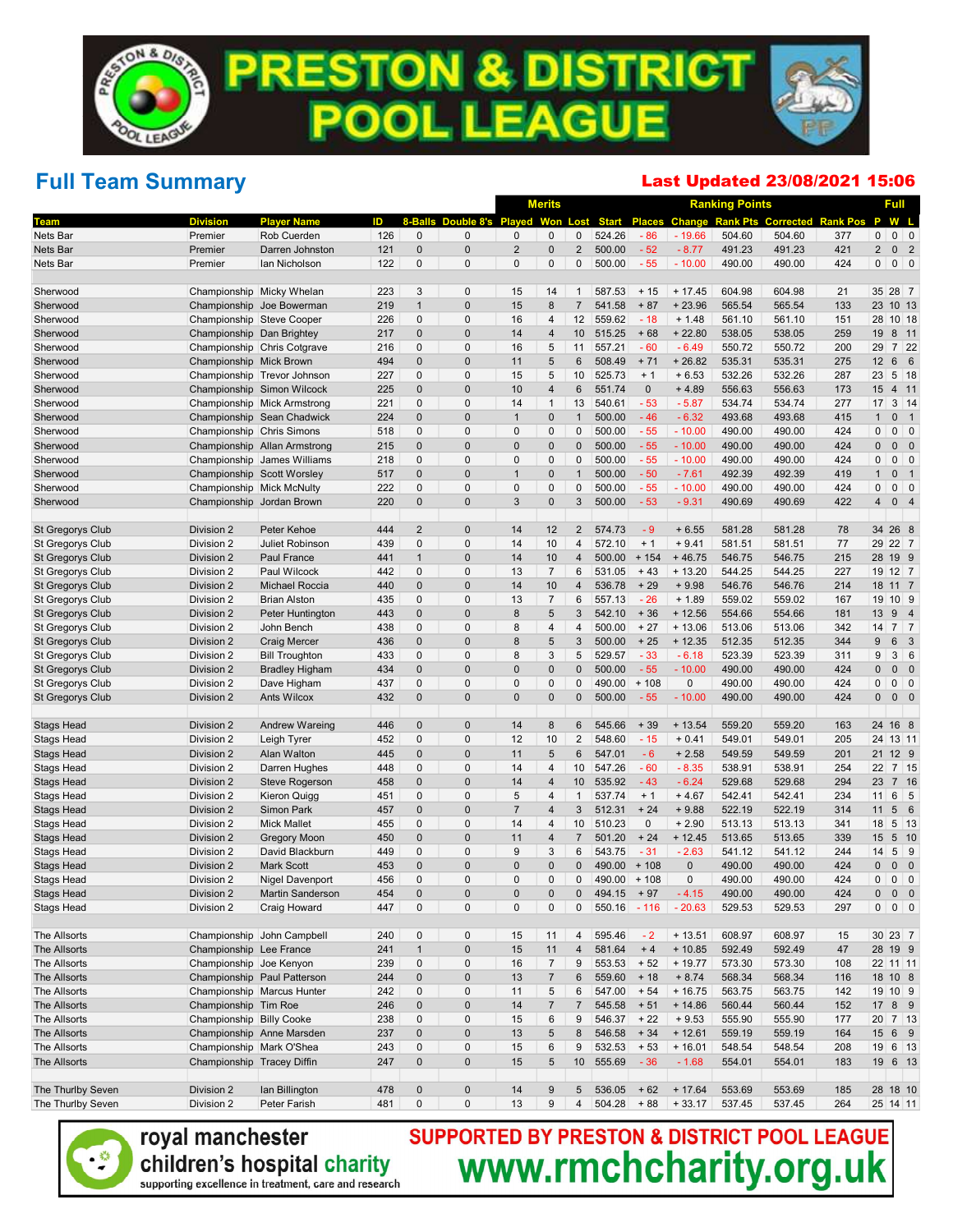## Full Team Summary

#### Last Updated 23/08/2021 15:06

|                                        |                            |                                   |            |                |                            | <b>Merits</b>  |                     |                |                  |               | <b>Ranking Points</b> |                  |                           |                 | Full           |                                            |
|----------------------------------------|----------------------------|-----------------------------------|------------|----------------|----------------------------|----------------|---------------------|----------------|------------------|---------------|-----------------------|------------------|---------------------------|-----------------|----------------|--------------------------------------------|
| Team                                   | <b>Division</b>            | <b>Player Name</b>                | ID         | 8-Ralls        | Double 8's Played          |                | Won                 | .ost           | <b>Start</b>     |               | <b>Places Change</b>  |                  | <b>Rank Pts Corrected</b> | <b>Rank Pos</b> | P              | W L                                        |
| Nets Bar                               | Premier                    | Rob Cuerden                       | 126        | $\overline{0}$ | $\mathbf 0$                | 0              | $\mathbf{0}$        | 0              | 524.26           | $-86$         | $-19.66$              | 504.60           | 504.60                    | 377             | 0              | $0 \mid 0$                                 |
| Nets Bar                               | Premier                    | Darren Johnston                   | 121        | $\overline{0}$ | $\mathbf 0$                | $\overline{2}$ | $\mathbf 0$         | $\overline{2}$ | 500.00           | $-52$         | $-8.77$               | 491.23           | 491.23                    | 421             | $\overline{2}$ | 0 <sub>2</sub>                             |
| Nets Bar                               | Premier                    | lan Nicholson                     | 122        | $\Omega$       | $\mathbf{0}$               | 0              | $\Omega$            | 0              | 500.00           | $-55$         | $-10.00$              | 490.00           | 490.00                    | 424             | 0              | $0$ 0                                      |
| Sherwood                               | Championship Micky Whelan  |                                   | 223        | 3              | $\mathbf 0$                | 15             | 14                  | 1              | 587.53           | $+15$         | $+17.45$              | 604.98           | 604.98                    | 21              | 35 28 7        |                                            |
| Sherwood                               |                            | Championship Joe Bowerman         | 219        | $\mathbf{1}$   | $\mathbf 0$                | 15             | 8                   | $\overline{7}$ | 541.58           | $+87$         | $+23.96$              | 565.54           | 565.54                    | 133             | 23             | 10 13                                      |
| Sherwood                               | Championship Steve Cooper  |                                   | 226        | $\overline{0}$ | $\mathbf 0$                | 16             | $\overline{4}$      | 12             | 559.62           | $-18$         | $+ 1.48$              | 561.10           | 561.10                    | 151             | 28             | $10$ 18                                    |
| Sherwood                               | Championship Dan Brightey  |                                   | 217        | $\overline{0}$ | $\mathbf 0$                | 14             | $\overline{4}$      | 10             | 515.25           | $+68$         | $+22.80$              | 538.05           | 538.05                    | 259             | 19             | 8 11                                       |
| Sherwood                               |                            | Championship Chris Cotgrave       | 216        | 0              | $\mathbf 0$                | 16             | 5                   | 11             | 557.21           | $-60$         | $-6.49$               | 550.72           | 550.72                    | 200             | 29             | $7 \overline{22}$                          |
| Sherwood                               | Championship Mick Brown    |                                   | 494        | $\overline{0}$ | $\mathbf 0$                | 11             | 5                   | 6              | 508.49           | $+71$         | $+26.82$              | 535.31           | 535.31                    | 275             | 12             | 6 6                                        |
| Sherwood                               |                            | Championship Trevor Johnson       | 227        | 0              | $\mathbf 0$                | 15             | 5                   | 10             | 525.73           | $+1$          | $+6.53$               | 532.26           | 532.26                    | 287             | 23             | $5$ 18                                     |
| Sherwood                               |                            | Championship Simon Wilcock        | 225        | $\overline{0}$ | $\mathbf 0$                | 10             | $\overline{4}$      | 6              | 551.74           | $\mathbf 0$   | $+4.89$               | 556.63           | 556.63                    | 173             | 15             | 4 11                                       |
| Sherwood                               |                            | Championship Mick Armstrong       | 221        | 0              | $\mathbf 0$                | 14             | $\mathbf{1}$        | 13             | 540.61           | $-53$         | $-5.87$               | 534.74           | 534.74                    | 277             | 17             | $3 \mid 14$                                |
| Sherwood                               |                            | Championship Sean Chadwick        | 224        | $\Omega$       | $\mathbf 0$                | $\overline{1}$ | $\mathbf 0$         | $\mathbf{1}$   | 500.00           | $-46$         | $-6.32$               | 493.68           | 493.68                    | 415             | $\mathbf{1}$   | 0 <sub>1</sub>                             |
| Sherwood                               | Championship Chris Simons  |                                   | 518        | 0              | $\mathbf 0$                | $\mathbf{0}$   | $\mathbf 0$         | 0              | 500.00           | $-55$         | $-10.00$              | 490.00           | 490.00                    | 424             | 0              | $0 \mid 0$                                 |
| Sherwood                               |                            | Championship Allan Armstrong      | 215        | $\overline{0}$ | $\mathbf 0$                | $\Omega$       | $\mathbf 0$         | 0              | 500.00           | $-55$         | $-10.00$              | 490.00           | 490.00                    | 424             | $\mathbf{0}$   | $0\quad 0$                                 |
| Sherwood                               |                            | Championship James Williams       | 218        | 0              | $\mathbf 0$                | 0              | $\mathbf 0$         | 0              | 500.00           | $-55$         | $-10.00$              | 490.00           | 490.00                    | 424             | 0              | 0<br>$\overline{0}$                        |
| Sherwood                               | Championship Scott Worsley |                                   | 517        | $\Omega$       | $\mathbf 0$                | $\overline{1}$ | $\mathbf 0$         | $\mathbf{1}$   | 500.00           | $-50$         | $-7.61$               | 492.39           | 492.39                    | 419             | $\mathbf{1}$   | 0<br>$\overline{\phantom{0}}$ 1            |
| Sherwood                               | Championship Mick McNulty  |                                   | 222        | $\mathbf 0$    | $\mathbf 0$                | $\mathbf{0}$   | $\mathbf 0$         | 0              | 500.00           | $-55$         | $-10.00$              | 490.00           | 490.00                    | 424             | 0              | 0<br>$\overline{0}$                        |
| Sherwood                               | Championship Jordan Brown  |                                   | 220        | $\overline{0}$ | $\mathbf 0$                | 3              | $\mathbf 0$         | 3              | 500.00           | $-53$         | $-9.31$               | 490.69           | 490.69                    | 422             | $\overline{4}$ | 0 <sub>4</sub>                             |
| <b>St Gregorys Club</b>                | Division 2                 | Peter Kehoe                       | 444        | $\overline{2}$ | $\mathbf 0$                | 14             | 12                  | $\overline{2}$ | 574.73           | - 9           | $+6.55$               | 581.28           | 581.28                    | 78              | 34 26 8        |                                            |
| <b>St Gregorys Club</b>                | Division 2                 | Juliet Robinson                   | 439        | $\overline{0}$ | $\mathbf 0$                | 14             | 10                  | 4              | 572.10           | $+1$          | $+9.41$               | 581.51           | 581.51                    | 77              | 29             | 22 7                                       |
| <b>St Gregorys Club</b>                | Division 2                 | Paul France                       | 441        | $\mathbf{1}$   | $\mathbf 0$                | 14             | 10                  | 4              | 500.00           | $+154$        | $+46.75$              | 546.75           | 546.75                    | 215             | 28             | 19 9                                       |
| St Gregorys Club                       | Division 2                 | Paul Wilcock                      | 442        | 0              | $\mathbf{0}$               | 13             | $\overline{7}$      | 6              | 531.05           | $+43$         | $+13.20$              | 544.25           | 544.25                    | 227             | 19 12 7        |                                            |
| <b>St Gregorys Club</b>                | Division 2                 | Michael Roccia                    | 440        | $\Omega$       | $\mathbf 0$                | 14             | 10                  | 4              | 536.78           | $+29$         | $+9.98$               | 546.76           | 546.76                    | 214             | 18             | 11 <sub>7</sub>                            |
| St Gregorys Club                       | Division 2                 | <b>Brian Alston</b>               | 435        | 0              | $\mathbf 0$                | 13             | $\overline{7}$      | 6              | 557.13           | $-26$         | $+1.89$               | 559.02           | 559.02                    | 167             | 19             | $10 \mid 9$                                |
| <b>St Gregorys Club</b>                | Division 2                 | Peter Huntington                  | 443        | $\Omega$       | $\mathbf 0$                | 8              | 5                   | 3              | 542.10           | $+36$         | $+12.56$              | 554.66           | 554.66                    | 181             | 13             | 94                                         |
| St Gregorys Club                       | Division 2                 | John Bench                        | 438        | 0              | $\mathbf 0$                | 8              | $\overline{4}$      | $\overline{4}$ | 500.00           | $+27$         | $+13.06$              | 513.06           | 513.06                    | 342             | 14             | 7 <sup>7</sup>                             |
| <b>St Gregorys Club</b>                | Division 2                 | <b>Craig Mercer</b>               | 436        | $\Omega$       | $\mathbf 0$                | 8              | 5                   | 3              | 500.00           | $+25$         | $+12.35$              | 512.35           | 512.35                    | 344             | 9              | $6\phantom{.}$<br>$\overline{\mathbf{3}}$  |
| St Gregorys Club                       | Division 2                 | <b>Bill Troughton</b>             | 433        | 0              | $\mathbf 0$                | 8              | 3                   | 5              | 529.57           | $-33$         | $-6.18$               | 523.39           | 523.39                    | 311             | 9              | 3 6                                        |
| <b>St Gregorys Club</b>                | Division 2                 | <b>Bradley Higham</b>             | 434        | $\overline{0}$ | $\mathbf 0$                | $\overline{0}$ | $\mathbf 0$         | 0              | 500.00           | $-55$         | $-10.00$              | 490.00           | 490.00                    | 424             | $\mathbf{0}$   | $0\quad 0$                                 |
| St Gregorys Club                       | Division 2                 | Dave Higham                       | 437        | 0              | $\mathbf 0$                | $\mathbf{0}$   | $\mathbf 0$         | 0              | 490.00           | $+108$        | 0                     | 490.00           | 490.00                    | 424             | 0              | $0 \mid 0$                                 |
| <b>St Gregorys Club</b>                | Division 2                 | <b>Ants Wilcox</b>                | 432        | $\overline{0}$ | $\mathbf 0$                | $\overline{0}$ | $\mathbf 0$         | 0              | 500.00           | $-55$         | $-10.00$              | 490.00           | 490.00                    | 424             | 0              | $\overline{0}$<br>$\overline{\phantom{0}}$ |
|                                        |                            |                                   |            | $\overline{0}$ |                            |                |                     |                |                  |               |                       |                  |                           |                 |                |                                            |
| <b>Stags Head</b>                      | Division 2                 | <b>Andrew Wareing</b>             | 446        | $\overline{0}$ | $\mathbf 0$                | 14             | 8                   | 6              | 545.66           | $+39$         | $+13.54$              | 559.20           | 559.20                    | 163             | 24             | 16 8                                       |
| <b>Stags Head</b>                      | Division 2                 | Leigh Tyrer                       | 452        | $\overline{0}$ | $\mathbf 0$                | 12             | 10                  | $\overline{2}$ | 548.60           | $-15$<br>$-6$ | $+0.41$               | 549.01           | 549.01                    | 205             | 24             | 13 11                                      |
| <b>Stags Head</b>                      | Division 2                 | Alan Walton                       | 445        | 0              | $\mathbf 0$                | 11<br>14       | 5<br>$\overline{4}$ | 6              | 547.01           | $-60$         | $+2.58$               | 549.59           | 549.59                    | 201<br>254      | 21<br>22       | 12 9                                       |
| <b>Stags Head</b>                      | Division 2                 | Darren Hughes                     | 448        | $\overline{0}$ | $\mathbf 0$<br>$\mathbf 0$ | 14             | $\overline{4}$      | 10<br>10       | 547.26<br>535.92 | $-43$         | $-8.35$<br>$-6.24$    | 538.91<br>529.68 | 538.91<br>529.68          | 294             | 23             | $7 \vert 15$<br>7 16                       |
| <b>Stags Head</b>                      | Division 2<br>Division 2   | <b>Steve Rogerson</b>             | 458        | 0              | $\mathbf 0$                | 5              | $\overline{4}$      | $\mathbf{1}$   | 537.74           | $+1$          | $+4.67$               | 542.41           | 542.41                    | 234             | 11             | 6<br>5                                     |
| <b>Stags Head</b>                      | Division 2                 | Kieron Quigg<br><b>Simon Park</b> | 451<br>457 | $\overline{0}$ | $\mathbf 0$                | $\overline{7}$ | $\overline{4}$      | 3              | 512.31           | $+24$         | $+9.88$               | 522.19           | 522.19                    | 314             | 11             | $\sqrt{5}$<br>$6\overline{6}$              |
| <b>Stags Head</b><br><b>Stags Head</b> | Division 2                 | <b>Mick Mallet</b>                | 455        | 0              | $\mathbf 0$                | 14             | $\overline{4}$      | 10             | 510.23           | $\mathbf{0}$  | $+2.90$               | 513.13           | 513.13                    | 341             | 18             | $5 \vert 13$                               |
| <b>Stags Head</b>                      | Division 2                 | <b>Gregory Moon</b>               | 450        | $\overline{0}$ | $\mathbf 0$                | 11             | $\overline{4}$      | $\overline{7}$ | 501.20           | $+24$         | $+12.45$              | 513.65           | 513.65                    | 339             | 15             | 5 10                                       |
| <b>Stags Head</b>                      | Division 2                 | David Blackburn                   | 449        | 0              | $\mathbf{0}$               | 9              | 3                   | 6              | 543.75           | $-31$         | $-2.63$               | 541.12           | 541.12                    | 244             | 14             | 5<br> 9                                    |
| <b>Stags Head</b>                      | Division 2                 | <b>Mark Scott</b>                 | 453        | $\Omega$       | $\mathbf{0}$               | $\overline{0}$ | $\mathbf 0$         | 0              | 490.00           | $+108$        | $\mathbf{0}$          | 490.00           | 490.00                    | 424             | $\overline{0}$ | $\mathbf 0$<br>$\overline{\mathbf{0}}$     |
| <b>Stags Head</b>                      | Division 2                 | Nigel Davenport                   | 456        | $\Omega$       | $\mathbf{0}$               | 0              | $\Omega$            | 0              | 490.00           | $+108$        | $\mathbf{0}$          | 490.00           | 490.00                    | 424             | 0              | 0<br>$\overline{0}$                        |
| Stags Head                             | Division 2                 | <b>Martin Sanderson</b>           | 454        | 0              | $\bf{0}$                   | 0              | 0                   | 0              | 494.15           | + 97          | - 4.15                | 490.00           | 490.00                    | 424             | 0              | $0\quad 0$                                 |
| <b>Stags Head</b>                      | Division 2                 | Craig Howard                      | 447        | 0              | $\mathbf 0$                | 0              | $\pmb{0}$           | 0              | 550.16           | $-116$        | $-20.63$              | 529.53           | 529.53                    | 297             | $\mathbf 0$    | $0 \quad 0$                                |
|                                        |                            |                                   |            |                |                            |                |                     |                |                  |               |                       |                  |                           |                 |                |                                            |
| The Allsorts                           |                            | Championship John Campbell        | 240        | $\pmb{0}$      | $\pmb{0}$                  | 15             | 11                  | 4              | 595.46           | $-2$          | $+13.51$              | 608.97           | 608.97                    | 15              | 30 23 7        |                                            |
| The Allsorts                           | Championship Lee France    |                                   | 241        | $\mathbf{1}$   | $\bf 0$                    | 15             | 11                  | $\overline{4}$ | 581.64           | $+4$          | $+10.85$              | 592.49           | 592.49                    | 47              | 28 19 9        |                                            |
| The Allsorts                           | Championship Joe Kenyon    |                                   | 239        | $\pmb{0}$      | $\bf 0$                    | 16             | $\overline{7}$      | 9              | 553.53           | $+52$         | $+19.77$              | 573.30           | 573.30                    | 108             | 22 11 11       |                                            |
| The Allsorts                           |                            | Championship Paul Patterson       | 244        | $\pmb{0}$      | $\pmb{0}$                  | 13             | $\overline{7}$      | 6              | 559.60           | $+18$         | $+8.74$               | 568.34           | 568.34                    | 116             | 18 10 8        |                                            |
| The Allsorts                           |                            | Championship Marcus Hunter        | 242        | $\pmb{0}$      | $\pmb{0}$                  | 11             | $\,$ 5 $\,$         | 6              | 547.00           | $+54$         | $+16.75$              | 563.75           | 563.75                    | 142             | 19 10 9        |                                            |
| The Allsorts                           | Championship Tim Roe       |                                   | 246        | $\pmb{0}$      | $\bf 0$                    | 14             | $\overline{7}$      | $\overline{7}$ | 545.58           | $+51$         | $+ 14.86$             | 560.44           | 560.44                    | 152             | 17 8 9         |                                            |
| The Allsorts                           | Championship Billy Cooke   |                                   | 238        | $\pmb{0}$      | $\pmb{0}$                  | 15             | $\,6$               | 9              | 546.37           | $+22$         | $+9.53$               | 555.90           | 555.90                    | 177             | 20             | $7 \vert 13$                               |
| The Allsorts                           |                            | Championship Anne Marsden         | 237        | $\pmb{0}$      | $\bf 0$                    | 13             | $\sqrt{5}$          | 8              | 546.58           | $+34$         | $+12.61$              | 559.19           | 559.19                    | 164             | 15 6 9         |                                            |
| The Allsorts                           | Championship Mark O'Shea   |                                   | 243        | $\pmb{0}$      | $\pmb{0}$                  | 15             | $\,6$               | 9              | 532.53           | $+53$         | $+16.01$              | 548.54           | 548.54                    | 208             | 19 6 13        |                                            |
| The Allsorts                           | Championship Tracey Diffin |                                   | 247        | $\pmb{0}$      | $\pmb{0}$                  | 15             | $\sqrt{5}$          | 10             | 555.69           | $-36$         | $-1.68$               | 554.01           | 554.01                    | 183             | 19 6 13        |                                            |
| The Thurlby Seven                      | Division 2                 | Ian Billington                    | 478        | 0              | $\pmb{0}$                  | 14             | $\boldsymbol{9}$    | 5              | 536.05           | $+62$         | $+ 17.64$             | 553.69           | 553.69                    | 185             | 28 18 10       |                                            |
| The Thurlby Seven                      | Division 2                 | Peter Farish                      | 481        | 0              | $\pmb{0}$                  | 13             | 9                   | 4              | 504.28           | $+88$         | $+33.17$              | 537.45           | 537.45                    | 264             | 25 14 11       |                                            |



#### royal manchester children's hospital charity supporting excellence in treatment, care and research